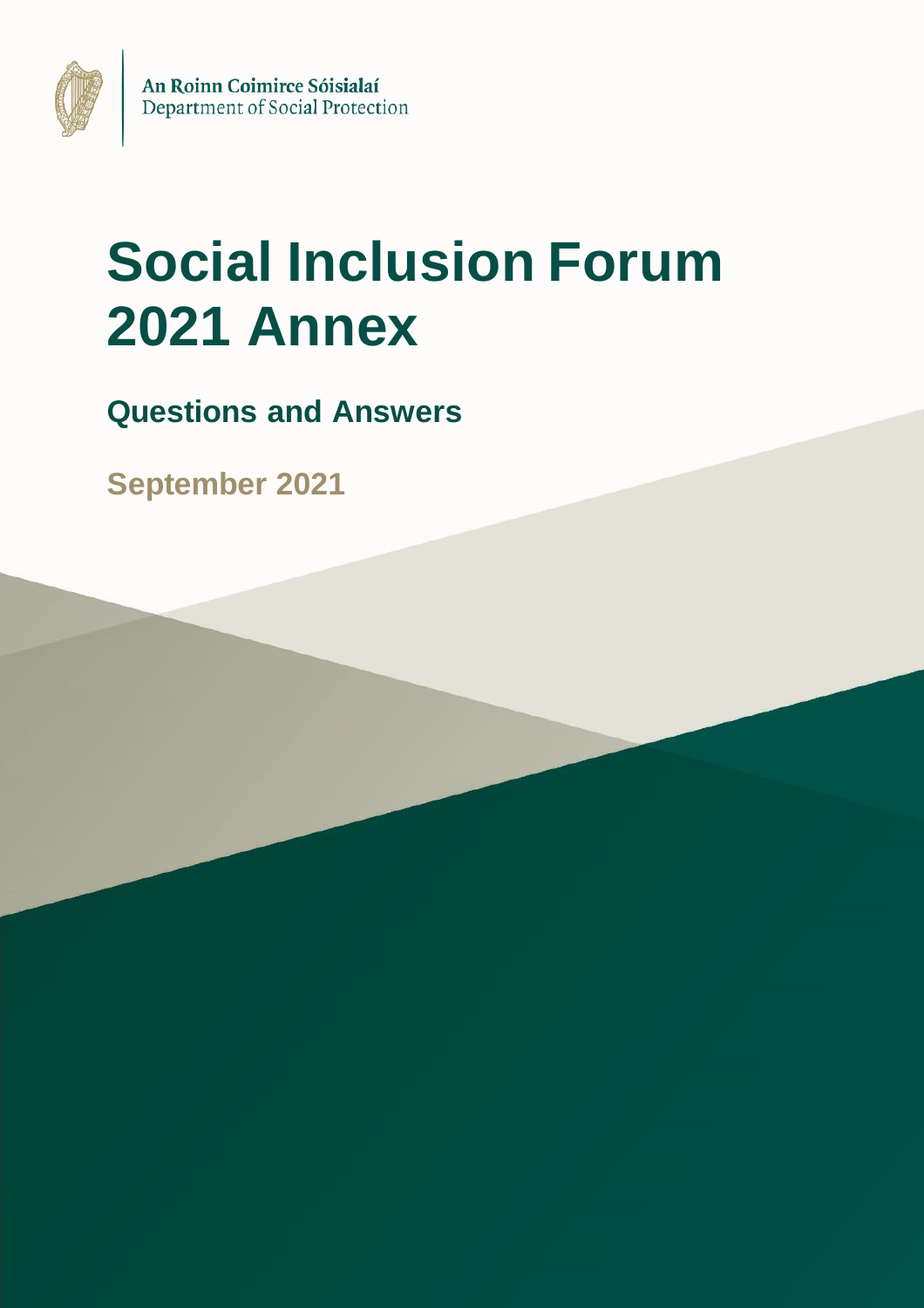

# **Social Inclusion Forum 2021 Annex**

**Questions and Answers**

**September 2021**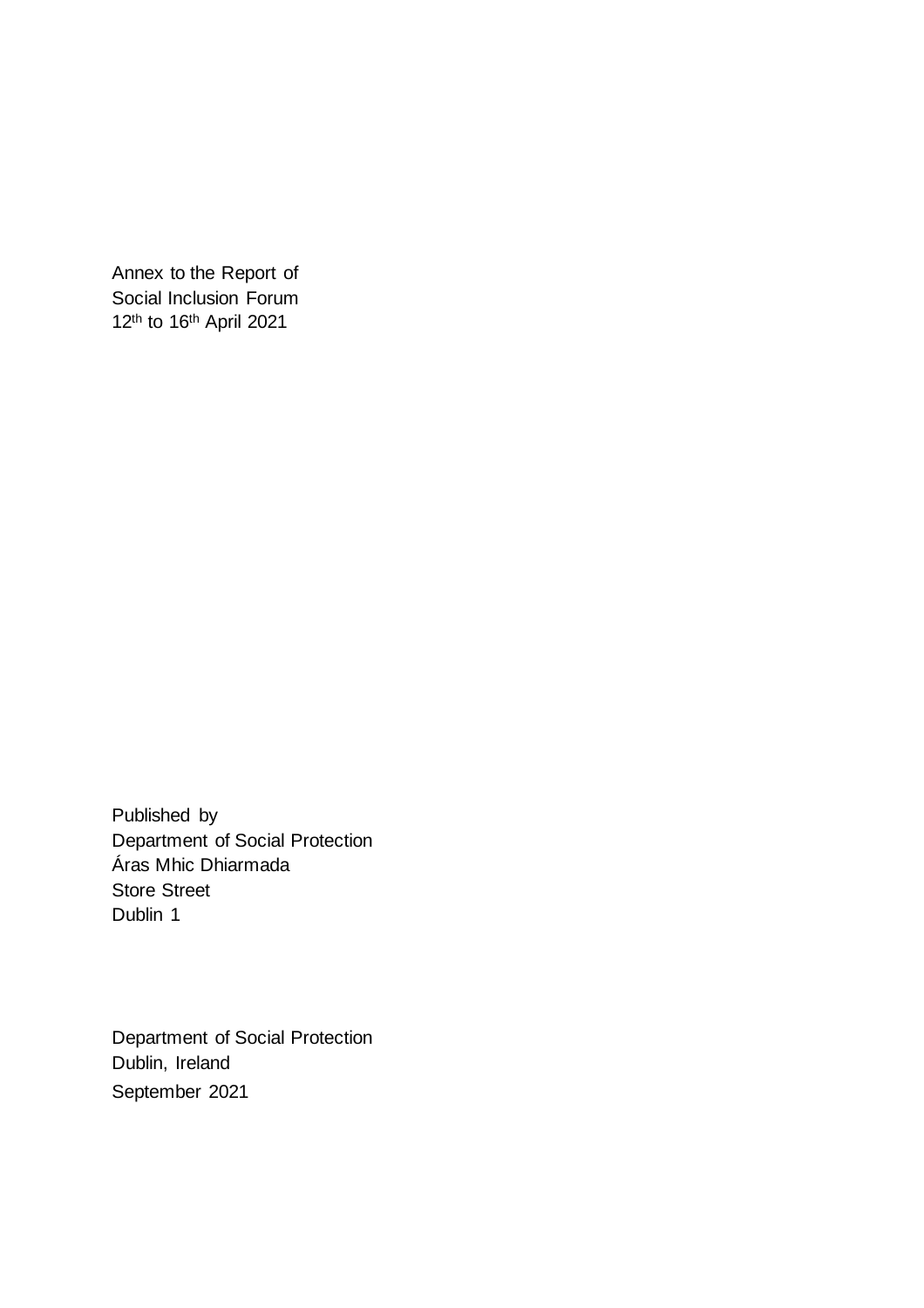Annex to the Report of Social Inclusion Forum 12th to 16th April 2021

Published by Department of Social Protection Áras Mhic Dhiarmada Store Street Dublin 1

Department of Social Protection Dublin, Ireland September 2021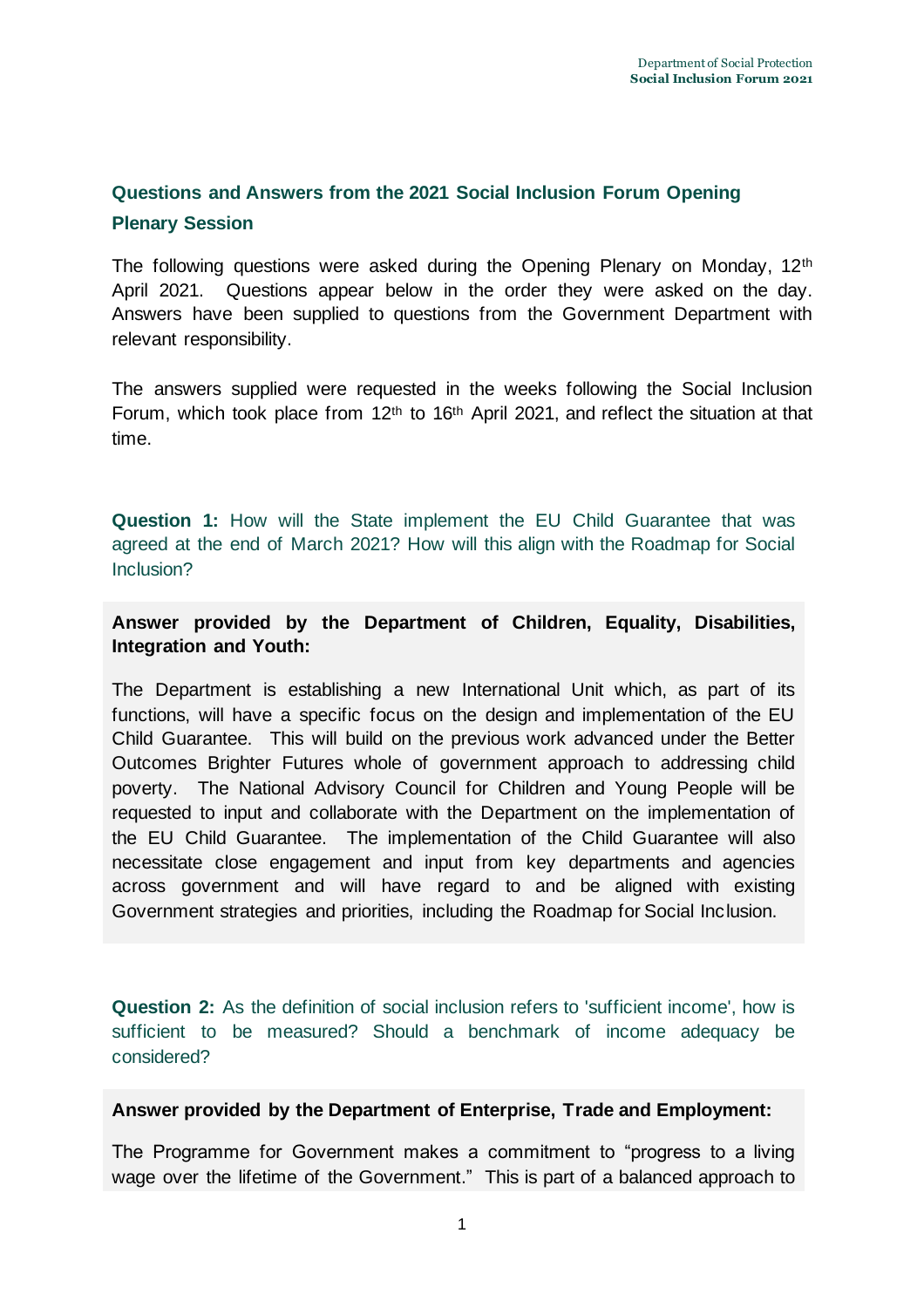# **Questions and Answers from the 2021 Social Inclusion Forum Opening Plenary Session**

The following questions were asked during the Opening Plenary on Monday, 12<sup>th</sup> April 2021. Questions appear below in the order they were asked on the day. Answers have been supplied to questions from the Government Department with relevant responsibility.

The answers supplied were requested in the weeks following the Social Inclusion Forum, which took place from 12<sup>th</sup> to 16<sup>th</sup> April 2021, and reflect the situation at that time.

**Question 1:** How will the State implement the EU Child Guarantee that was agreed at the end of March 2021? How will this align with the Roadmap for Social Inclusion?

# **Answer provided by the Department of Children, Equality, Disabilities, Integration and Youth:**

The Department is establishing a new International Unit which, as part of its functions, will have a specific focus on the design and implementation of the EU Child Guarantee. This will build on the previous work advanced under the Better Outcomes Brighter Futures whole of government approach to addressing child poverty. The National Advisory Council for Children and Young People will be requested to input and collaborate with the Department on the implementation of the EU Child Guarantee. The implementation of the Child Guarantee will also necessitate close engagement and input from key departments and agencies across government and will have regard to and be aligned with existing Government strategies and priorities, including the Roadmap for Social Inclusion.

**Question 2:** As the definition of social inclusion refers to 'sufficient income', how is sufficient to be measured? Should a benchmark of income adequacy be considered?

# **Answer provided by the Department of Enterprise, Trade and Employment:**

The Programme for Government makes a commitment to "progress to a living wage over the lifetime of the Government." This is part of a balanced approach to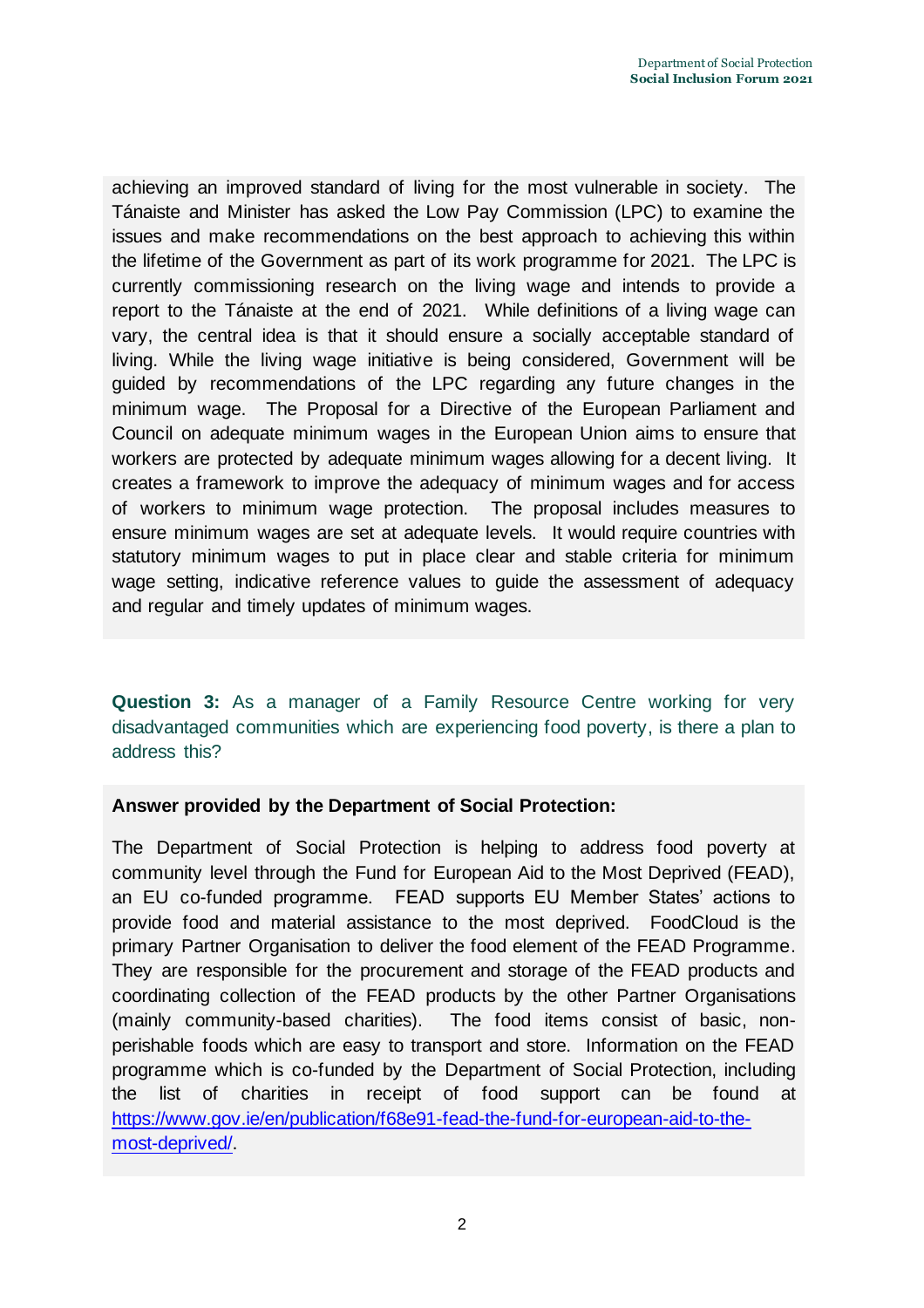achieving an improved standard of living for the most vulnerable in society. The Tánaiste and Minister has asked the Low Pay Commission (LPC) to examine the issues and make recommendations on the best approach to achieving this within the lifetime of the Government as part of its work programme for 2021. The LPC is currently commissioning research on the living wage and intends to provide a report to the Tánaiste at the end of 2021. While definitions of a living wage can vary, the central idea is that it should ensure a socially acceptable standard of living. While the living wage initiative is being considered, Government will be guided by recommendations of the LPC regarding any future changes in the minimum wage. The Proposal for a Directive of the European Parliament and Council on adequate minimum wages in the European Union aims to ensure that workers are protected by adequate minimum wages allowing for a decent living. It creates a framework to improve the adequacy of minimum wages and for access of workers to minimum wage protection. The proposal includes measures to ensure minimum wages are set at adequate levels. It would require countries with statutory minimum wages to put in place clear and stable criteria for minimum wage setting, indicative reference values to guide the assessment of adequacy and regular and timely updates of minimum wages.

**Question 3:** As a manager of a Family Resource Centre working for very disadvantaged communities which are experiencing food poverty, is there a plan to address this?

# **Answer provided by the Department of Social Protection:**

The Department of Social Protection is helping to address food poverty at community level through the Fund for European Aid to the Most Deprived (FEAD), an EU co-funded programme. FEAD supports EU Member States' actions to provide food and material assistance to the most deprived. FoodCloud is the primary Partner Organisation to deliver the food element of the FEAD Programme. They are responsible for the procurement and storage of the FEAD products and coordinating collection of the FEAD products by the other Partner Organisations (mainly community-based charities). The food items consist of basic, nonperishable foods which are easy to transport and store. Information on the FEAD programme which is co-funded by the Department of Social Protection, including the list of charities in receipt of food support can be found at [https://www.gov.ie/en/publication/f68e91-fead-the-fund-for-european-aid-to-the](https://www.gov.ie/en/publication/f68e91-fead-the-fund-for-european-aid-to-the-most-deprived/)[most-deprived/.](https://www.gov.ie/en/publication/f68e91-fead-the-fund-for-european-aid-to-the-most-deprived/)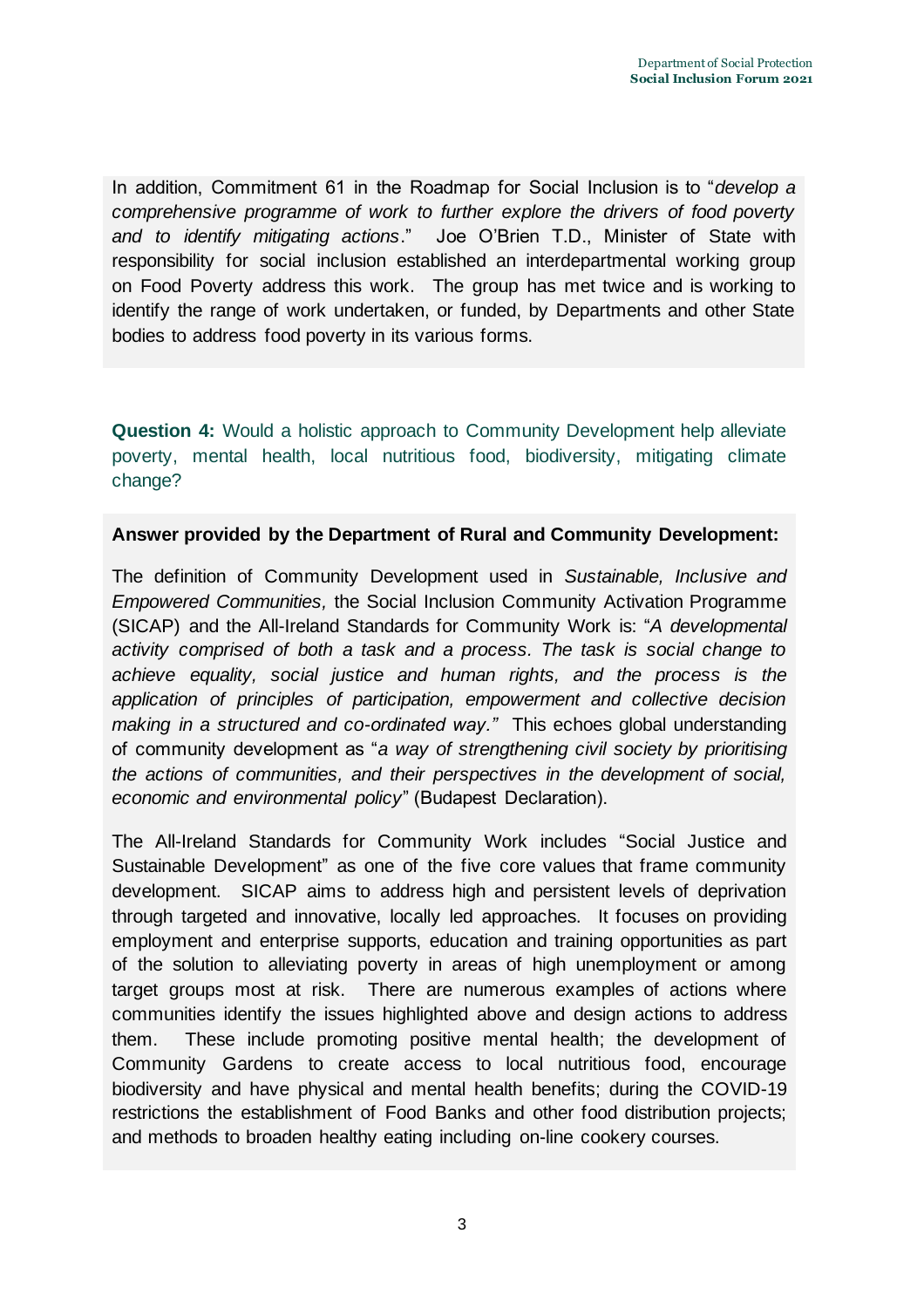In addition, Commitment 61 in the Roadmap for Social Inclusion is to "*develop a comprehensive programme of work to further explore the drivers of food poverty and to identify mitigating actions*." Joe O'Brien T.D., Minister of State with responsibility for social inclusion established an interdepartmental working group on Food Poverty address this work. The group has met twice and is working to identify the range of work undertaken, or funded, by Departments and other State bodies to address food poverty in its various forms.

**Question 4:** Would a holistic approach to Community Development help alleviate poverty, mental health, local nutritious food, biodiversity, mitigating climate change?

#### **Answer provided by the Department of Rural and Community Development:**

The definition of Community Development used in *Sustainable, Inclusive and Empowered Communities,* the Social Inclusion Community Activation Programme (SICAP) and the All-Ireland Standards for Community Work is: "*A developmental activity comprised of both a task and a process. The task is social change to achieve equality, social justice and human rights, and the process is the application of principles of participation, empowerment and collective decision making in a structured and co-ordinated way."* This echoes global understanding of community development as "*a way of strengthening civil society by prioritising the actions of communities, and their perspectives in the development of social, economic and environmental policy*" (Budapest Declaration).

The All-Ireland Standards for Community Work includes "Social Justice and Sustainable Development" as one of the five core values that frame community development. SICAP aims to address high and persistent levels of deprivation through targeted and innovative, locally led approaches. It focuses on providing employment and enterprise supports, education and training opportunities as part of the solution to alleviating poverty in areas of high unemployment or among target groups most at risk. There are numerous examples of actions where communities identify the issues highlighted above and design actions to address them. These include promoting positive mental health; the development of Community Gardens to create access to local nutritious food, encourage biodiversity and have physical and mental health benefits; during the COVID-19 restrictions the establishment of Food Banks and other food distribution projects; and methods to broaden healthy eating including on-line cookery courses.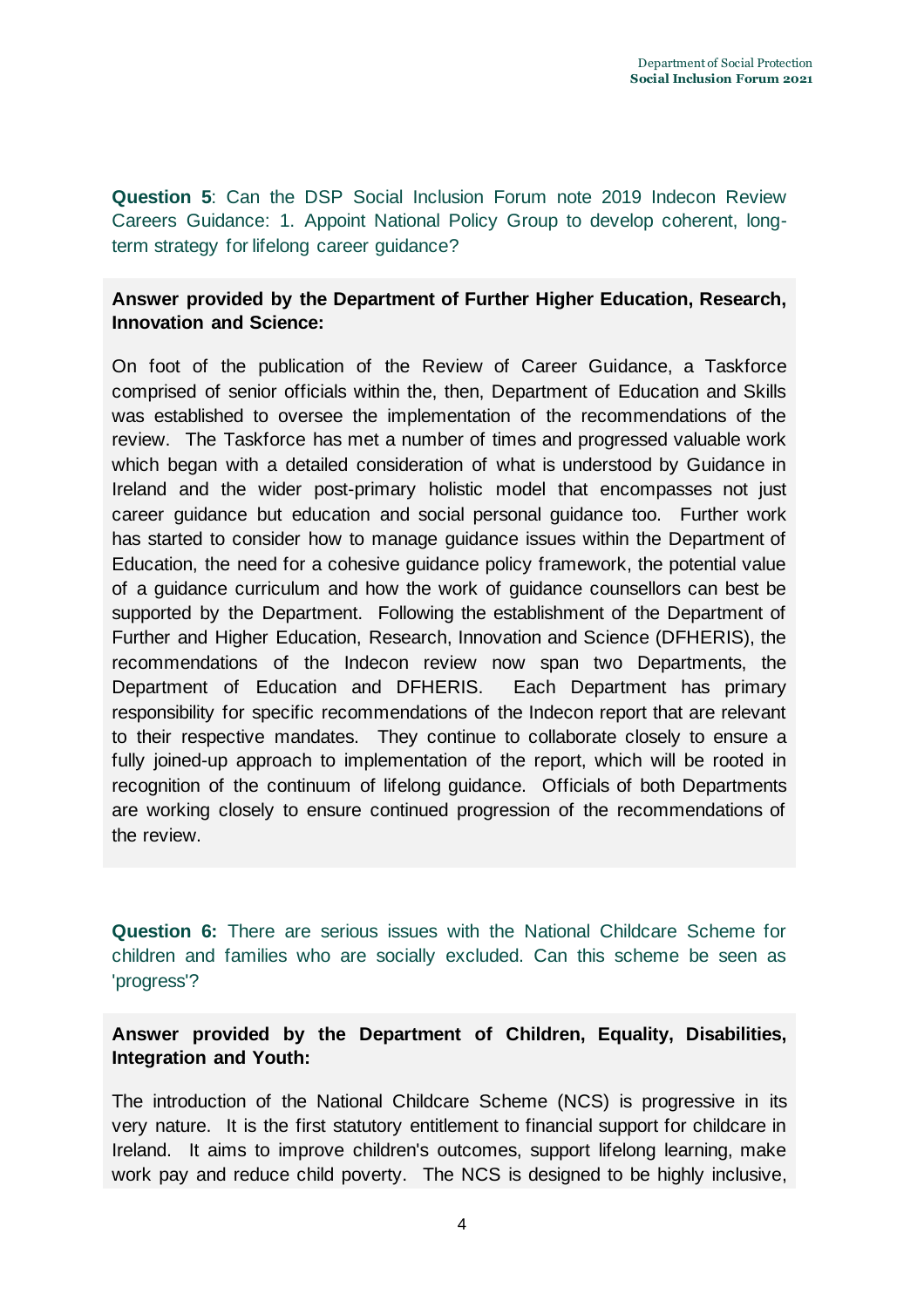**Question 5**: Can the DSP Social Inclusion Forum note 2019 Indecon Review Careers Guidance: 1. Appoint National Policy Group to develop coherent, longterm strategy for lifelong career guidance?

# **Answer provided by the Department of Further Higher Education, Research, Innovation and Science:**

On foot of the publication of the Review of Career Guidance, a Taskforce comprised of senior officials within the, then, Department of Education and Skills was established to oversee the implementation of the recommendations of the review. The Taskforce has met a number of times and progressed valuable work which began with a detailed consideration of what is understood by Guidance in Ireland and the wider post-primary holistic model that encompasses not just career guidance but education and social personal guidance too. Further work has started to consider how to manage guidance issues within the Department of Education, the need for a cohesive guidance policy framework, the potential value of a guidance curriculum and how the work of guidance counsellors can best be supported by the Department. Following the establishment of the Department of Further and Higher Education, Research, Innovation and Science (DFHERIS), the recommendations of the Indecon review now span two Departments, the Department of Education and DFHERIS. Each Department has primary responsibility for specific recommendations of the Indecon report that are relevant to their respective mandates. They continue to collaborate closely to ensure a fully joined-up approach to implementation of the report, which will be rooted in recognition of the continuum of lifelong guidance. Officials of both Departments are working closely to ensure continued progression of the recommendations of the review.

**Question 6:** There are serious issues with the National Childcare Scheme for children and families who are socially excluded. Can this scheme be seen as 'progress'?

**Answer provided by the Department of Children, Equality, Disabilities, Integration and Youth:**

The introduction of the National Childcare Scheme (NCS) is progressive in its very nature. It is the first statutory entitlement to financial support for childcare in Ireland. It aims to improve children's outcomes, support lifelong learning, make work pay and reduce child poverty. The NCS is designed to be highly inclusive,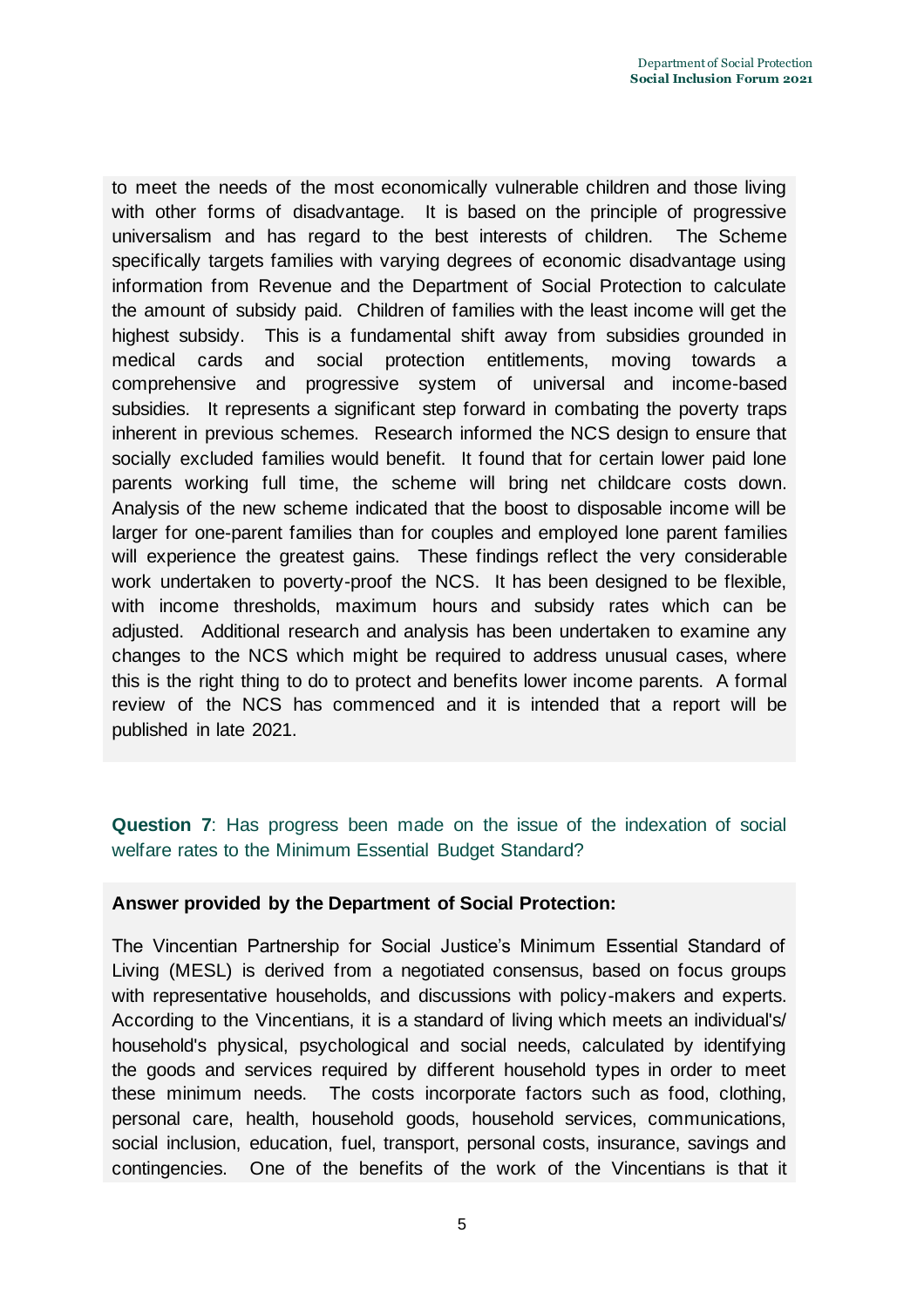to meet the needs of the most economically vulnerable children and those living with other forms of disadvantage. It is based on the principle of progressive universalism and has regard to the best interests of children. The Scheme specifically targets families with varying degrees of economic disadvantage using information from Revenue and the Department of Social Protection to calculate the amount of subsidy paid. Children of families with the least income will get the highest subsidy. This is a fundamental shift away from subsidies grounded in medical cards and social protection entitlements, moving towards a comprehensive and progressive system of universal and income-based subsidies. It represents a significant step forward in combating the poverty traps inherent in previous schemes. Research informed the NCS design to ensure that socially excluded families would benefit. It found that for certain lower paid lone parents working full time, the scheme will bring net childcare costs down. Analysis of the new scheme indicated that the boost to disposable income will be larger for one-parent families than for couples and employed lone parent families will experience the greatest gains. These findings reflect the very considerable work undertaken to poverty-proof the NCS. It has been designed to be flexible, with income thresholds, maximum hours and subsidy rates which can be adjusted. Additional research and analysis has been undertaken to examine any changes to the NCS which might be required to address unusual cases, where this is the right thing to do to protect and benefits lower income parents. A formal review of the NCS has commenced and it is intended that a report will be published in late 2021.

# **Question 7**: Has progress been made on the issue of the indexation of social welfare rates to the Minimum Essential Budget Standard?

# **Answer provided by the Department of Social Protection:**

The Vincentian Partnership for Social Justice's Minimum Essential Standard of Living (MESL) is derived from a negotiated consensus, based on focus groups with representative households, and discussions with policy-makers and experts. According to the Vincentians, it is a standard of living which meets an individual's/ household's physical, psychological and social needs, calculated by identifying the goods and services required by different household types in order to meet these minimum needs. The costs incorporate factors such as food, clothing, personal care, health, household goods, household services, communications, social inclusion, education, fuel, transport, personal costs, insurance, savings and contingencies. One of the benefits of the work of the Vincentians is that it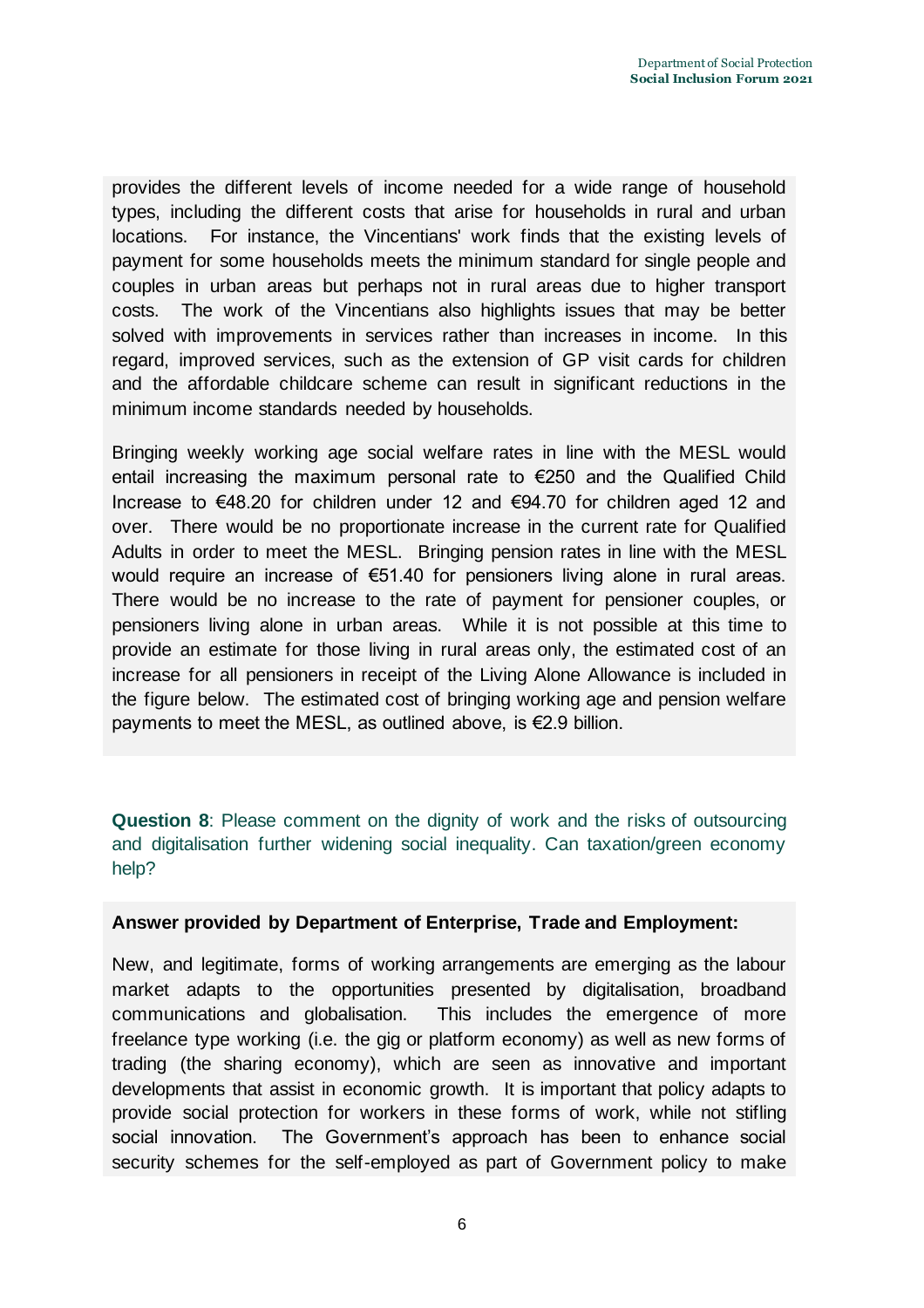provides the different levels of income needed for a wide range of household types, including the different costs that arise for households in rural and urban locations. For instance, the Vincentians' work finds that the existing levels of payment for some households meets the minimum standard for single people and couples in urban areas but perhaps not in rural areas due to higher transport costs. The work of the Vincentians also highlights issues that may be better solved with improvements in services rather than increases in income. In this regard, improved services, such as the extension of GP visit cards for children and the affordable childcare scheme can result in significant reductions in the minimum income standards needed by households.

Bringing weekly working age social welfare rates in line with the MESL would entail increasing the maximum personal rate to €250 and the Qualified Child Increase to €48.20 for children under 12 and €94.70 for children aged 12 and over. There would be no proportionate increase in the current rate for Qualified Adults in order to meet the MESL. Bringing pension rates in line with the MESL would require an increase of €51.40 for pensioners living alone in rural areas. There would be no increase to the rate of payment for pensioner couples, or pensioners living alone in urban areas. While it is not possible at this time to provide an estimate for those living in rural areas only, the estimated cost of an increase for all pensioners in receipt of the Living Alone Allowance is included in the figure below. The estimated cost of bringing working age and pension welfare payments to meet the MESL, as outlined above, is €2.9 billion.

**Question 8**: Please comment on the dignity of work and the risks of outsourcing and digitalisation further widening social inequality. Can taxation/green economy help?

# **Answer provided by Department of Enterprise, Trade and Employment:**

New, and legitimate, forms of working arrangements are emerging as the labour market adapts to the opportunities presented by digitalisation, broadband communications and globalisation. This includes the emergence of more freelance type working (i.e. the gig or platform economy) as well as new forms of trading (the sharing economy), which are seen as innovative and important developments that assist in economic growth. It is important that policy adapts to provide social protection for workers in these forms of work, while not stifling social innovation. The Government's approach has been to enhance social security schemes for the self-employed as part of Government policy to make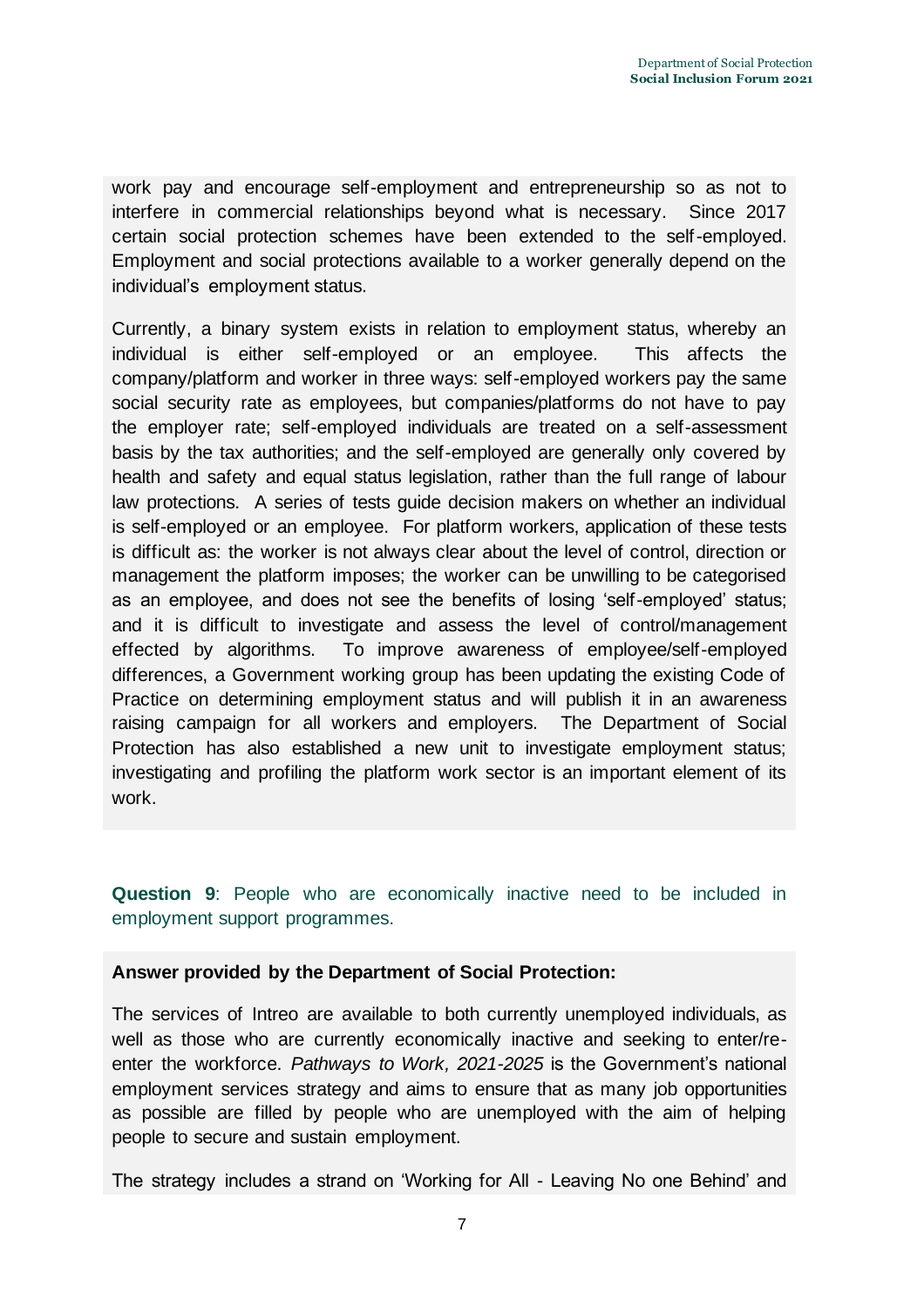work pay and encourage self-employment and entrepreneurship so as not to interfere in commercial relationships beyond what is necessary. Since 2017 certain social protection schemes have been extended to the self-employed. Employment and social protections available to a worker generally depend on the individual's employment status.

Currently, a binary system exists in relation to employment status, whereby an individual is either self-employed or an employee. This affects the company/platform and worker in three ways: self-employed workers pay the same social security rate as employees, but companies/platforms do not have to pay the employer rate; self-employed individuals are treated on a self-assessment basis by the tax authorities; and the self-employed are generally only covered by health and safety and equal status legislation, rather than the full range of labour law protections. A series of tests guide decision makers on whether an individual is self-employed or an employee. For platform workers, application of these tests is difficult as: the worker is not always clear about the level of control, direction or management the platform imposes; the worker can be unwilling to be categorised as an employee, and does not see the benefits of losing 'self-employed' status; and it is difficult to investigate and assess the level of control/management effected by algorithms. To improve awareness of employee/self-employed differences, a Government working group has been updating the existing Code of Practice on determining employment status and will publish it in an awareness raising campaign for all workers and employers. The Department of Social Protection has also established a new unit to investigate employment status; investigating and profiling the platform work sector is an important element of its work.

**Question 9**: People who are economically inactive need to be included in employment support programmes.

# **Answer provided by the Department of Social Protection:**

The services of Intreo are available to both currently unemployed individuals, as well as those who are currently economically inactive and seeking to enter/reenter the workforce. *Pathways to Work, 2021-2025* is the Government's national employment services strategy and aims to ensure that as many job opportunities as possible are filled by people who are unemployed with the aim of helping people to secure and sustain employment.

The strategy includes a strand on 'Working for All - Leaving No one Behind' and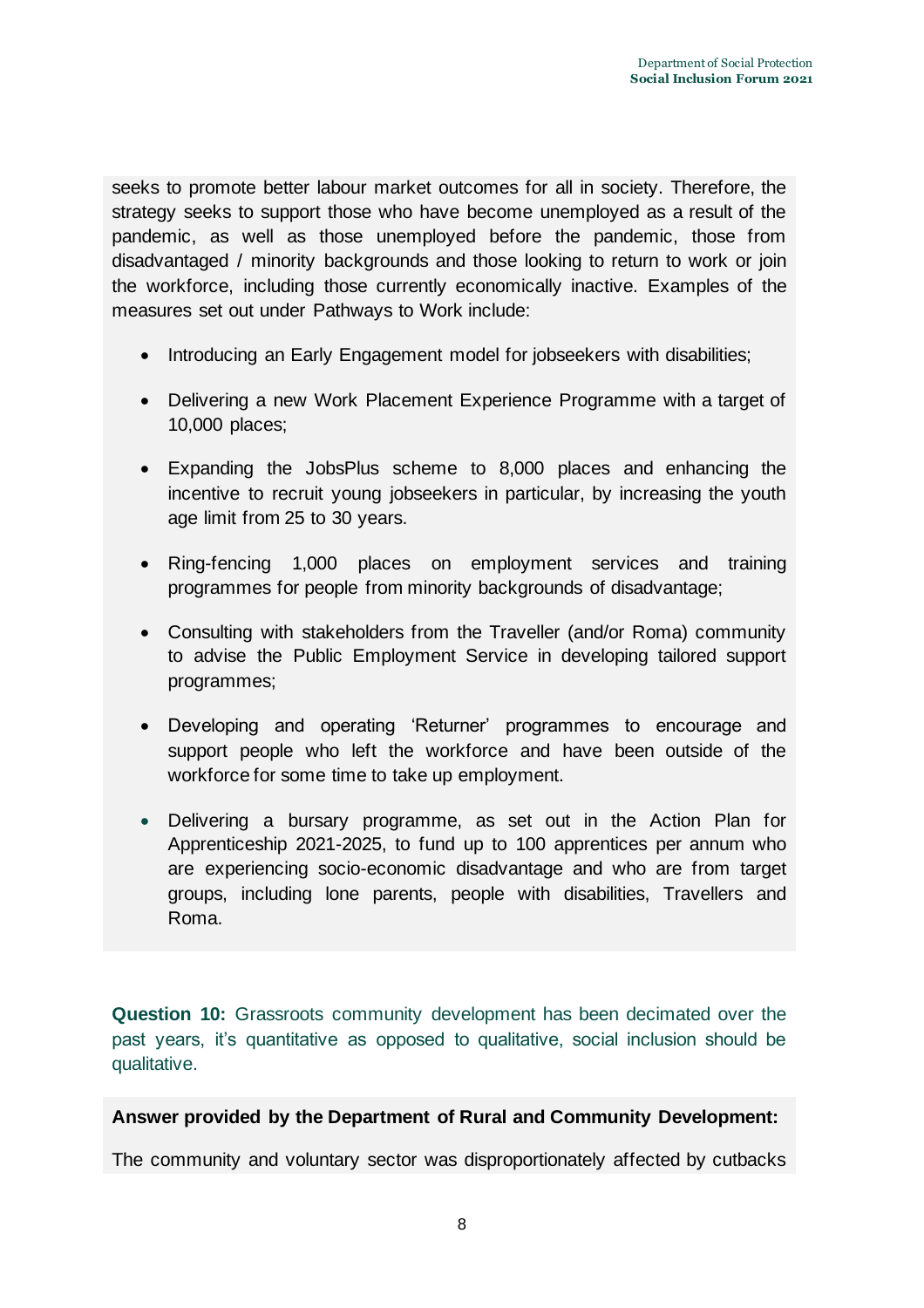seeks to promote better labour market outcomes for all in society. Therefore, the strategy seeks to support those who have become unemployed as a result of the pandemic, as well as those unemployed before the pandemic, those from disadvantaged / minority backgrounds and those looking to return to work or join the workforce, including those currently economically inactive. Examples of the measures set out under Pathways to Work include:

- Introducing an Early Engagement model for jobseekers with disabilities;
- Delivering a new Work Placement Experience Programme with a target of 10,000 places;
- Expanding the JobsPlus scheme to 8,000 places and enhancing the incentive to recruit young jobseekers in particular, by increasing the youth age limit from 25 to 30 years.
- Ring-fencing 1,000 places on employment services and training programmes for people from minority backgrounds of disadvantage;
- Consulting with stakeholders from the Traveller (and/or Roma) community to advise the Public Employment Service in developing tailored support programmes;
- Developing and operating 'Returner' programmes to encourage and support people who left the workforce and have been outside of the workforce for some time to take up employment.
- Delivering a bursary programme, as set out in the Action Plan for Apprenticeship 2021-2025, to fund up to 100 apprentices per annum who are experiencing socio-economic disadvantage and who are from target groups, including lone parents, people with disabilities, Travellers and Roma.

**Question 10:** Grassroots community development has been decimated over the past years, it's quantitative as opposed to qualitative, social inclusion should be qualitative.

# **Answer provided by the Department of Rural and Community Development:**

The community and voluntary sector was disproportionately affected by cutbacks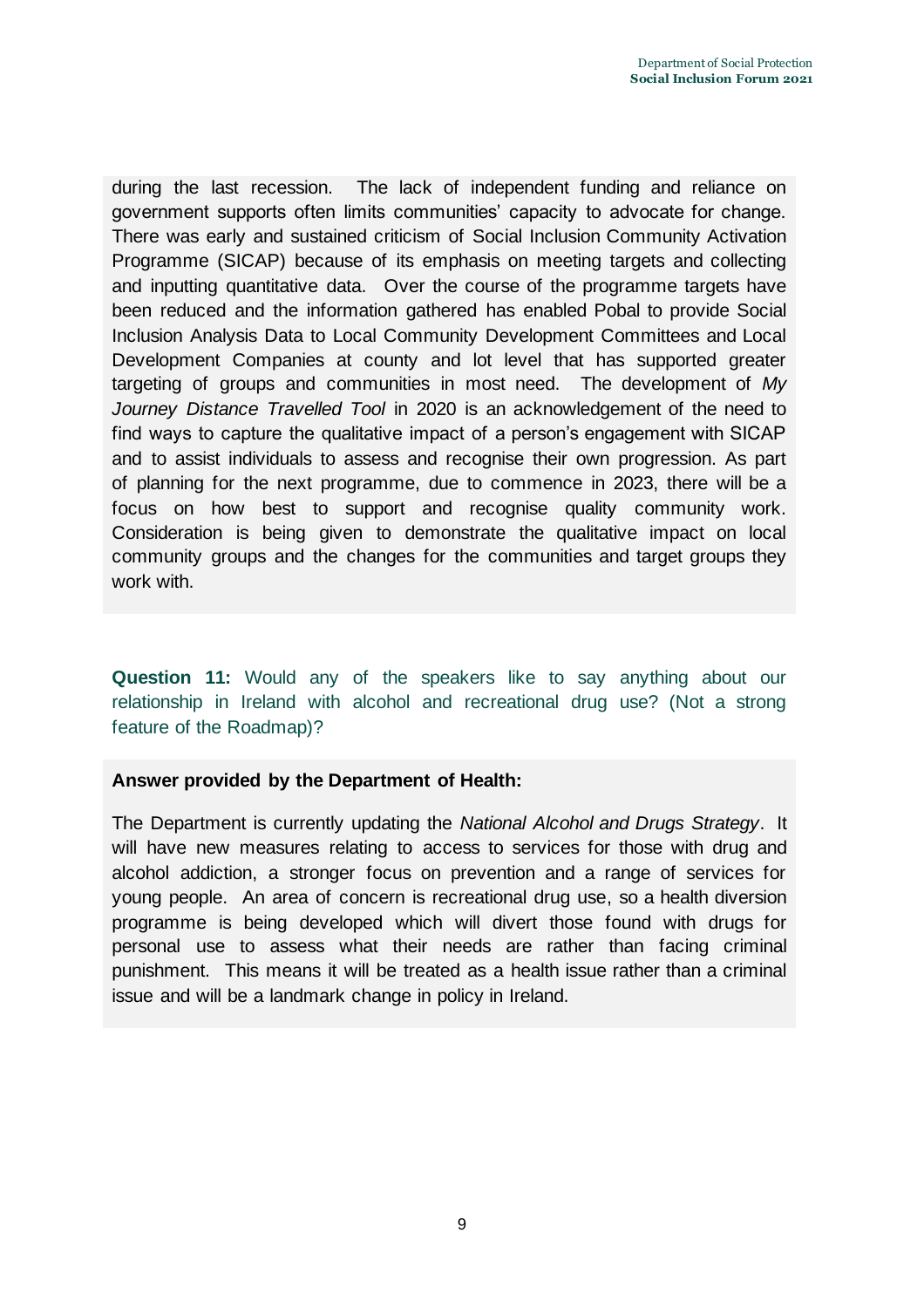during the last recession. The lack of independent funding and reliance on government supports often limits communities' capacity to advocate for change. There was early and sustained criticism of Social Inclusion Community Activation Programme (SICAP) because of its emphasis on meeting targets and collecting and inputting quantitative data. Over the course of the programme targets have been reduced and the information gathered has enabled Pobal to provide Social Inclusion Analysis Data to Local Community Development Committees and Local Development Companies at county and lot level that has supported greater targeting of groups and communities in most need. The development of *My Journey Distance Travelled Tool* in 2020 is an acknowledgement of the need to find ways to capture the qualitative impact of a person's engagement with SICAP and to assist individuals to assess and recognise their own progression. As part of planning for the next programme, due to commence in 2023, there will be a focus on how best to support and recognise quality community work. Consideration is being given to demonstrate the qualitative impact on local community groups and the changes for the communities and target groups they work with.

**Question 11:** Would any of the speakers like to say anything about our relationship in Ireland with alcohol and recreational drug use? (Not a strong feature of the Roadmap)?

# **Answer provided by the Department of Health:**

The Department is currently updating the *National Alcohol and Drugs Strategy*. It will have new measures relating to access to services for those with drug and alcohol addiction, a stronger focus on prevention and a range of services for young people. An area of concern is recreational drug use, so a health diversion programme is being developed which will divert those found with drugs for personal use to assess what their needs are rather than facing criminal punishment. This means it will be treated as a health issue rather than a criminal issue and will be a landmark change in policy in Ireland.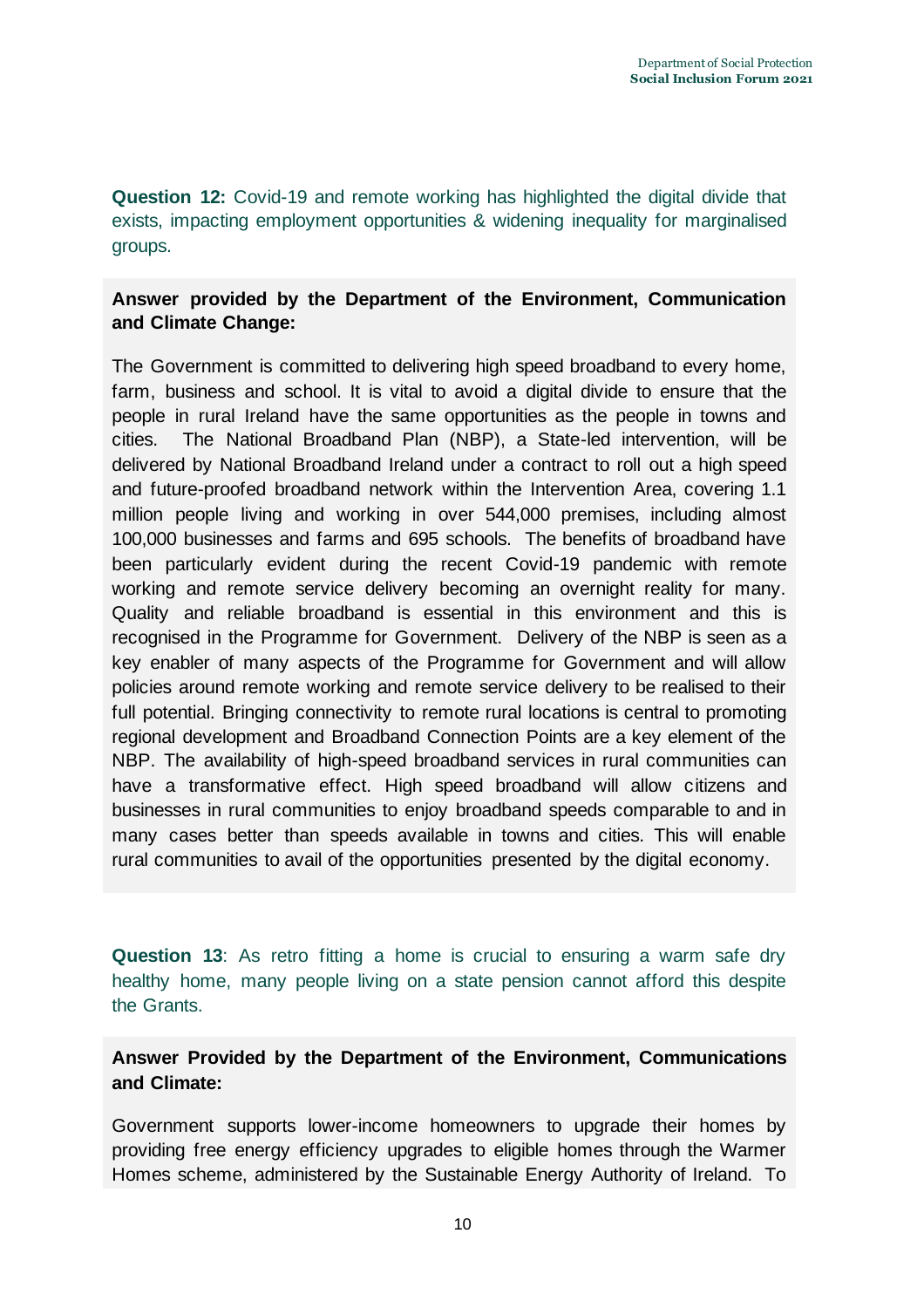**Question 12:** Covid-19 and remote working has highlighted the digital divide that exists, impacting employment opportunities & widening inequality for marginalised groups.

# **Answer provided by the Department of the Environment, Communication and Climate Change:**

The Government is committed to delivering high speed broadband to every home, farm, business and school. It is vital to avoid a digital divide to ensure that the people in rural Ireland have the same opportunities as the people in towns and cities. The National Broadband Plan (NBP), a State-led intervention, will be delivered by National Broadband Ireland under a contract to roll out a high speed and future-proofed broadband network within the Intervention Area, covering 1.1 million people living and working in over 544,000 premises, including almost 100,000 businesses and farms and 695 schools. The benefits of broadband have been particularly evident during the recent Covid-19 pandemic with remote working and remote service delivery becoming an overnight reality for many. Quality and reliable broadband is essential in this environment and this is recognised in the Programme for Government. Delivery of the NBP is seen as a key enabler of many aspects of the Programme for Government and will allow policies around remote working and remote service delivery to be realised to their full potential. Bringing connectivity to remote rural locations is central to promoting regional development and Broadband Connection Points are a key element of the NBP. The availability of high-speed broadband services in rural communities can have a transformative effect. High speed broadband will allow citizens and businesses in rural communities to enjoy broadband speeds comparable to and in many cases better than speeds available in towns and cities. This will enable rural communities to avail of the opportunities presented by the digital economy.

**Question 13**: As retro fitting a home is crucial to ensuring a warm safe dry healthy home, many people living on a state pension cannot afford this despite the Grants.

**Answer Provided by the Department of the Environment, Communications and Climate:**

Government supports lower-income homeowners to upgrade their homes by providing free energy efficiency upgrades to eligible homes through the Warmer Homes scheme, administered by the Sustainable Energy Authority of Ireland. To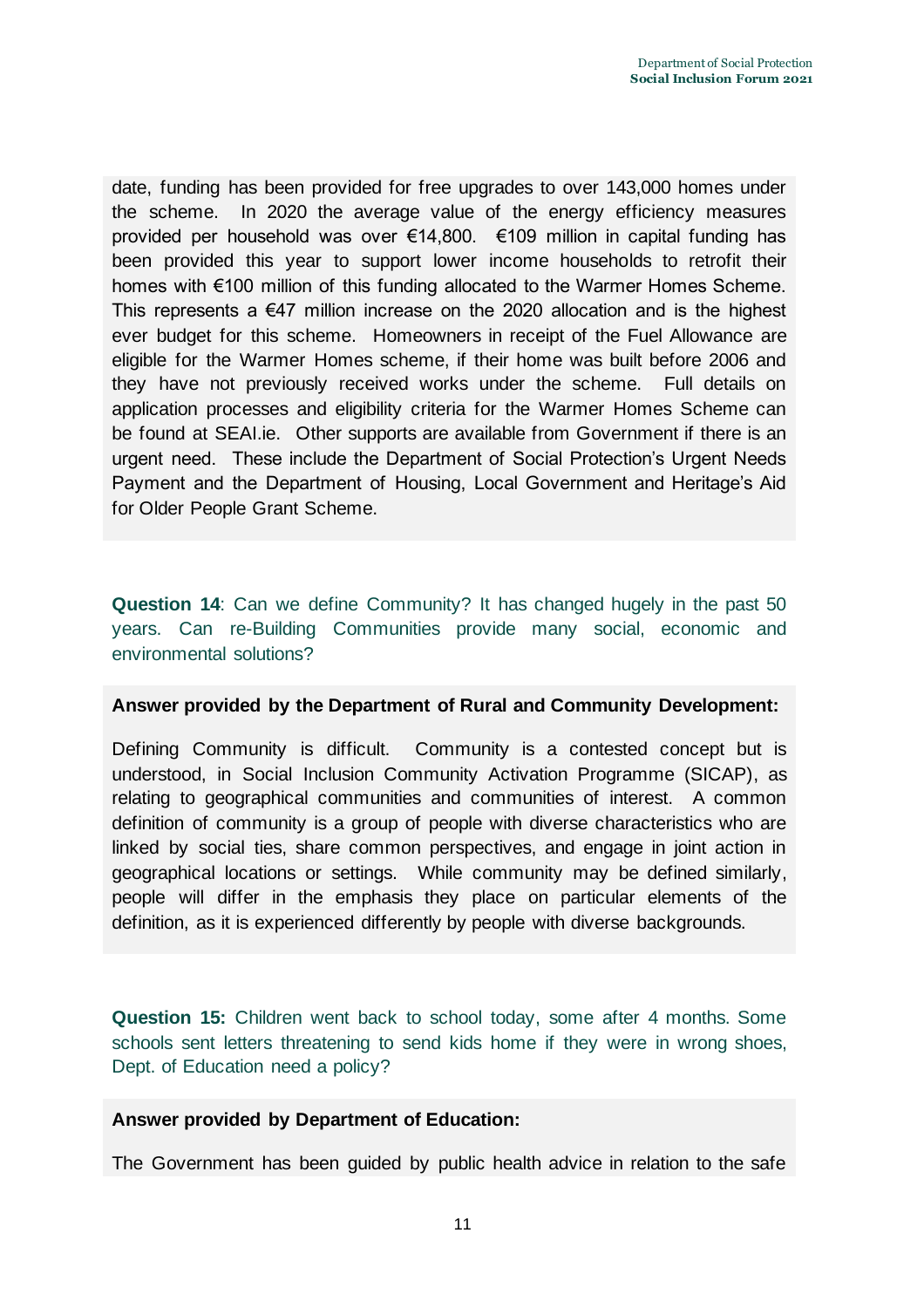date, funding has been provided for free upgrades to over 143,000 homes under the scheme. In 2020 the average value of the energy efficiency measures provided per household was over €14,800. €109 million in capital funding has been provided this year to support lower income households to retrofit their homes with €100 million of this funding allocated to the Warmer Homes Scheme. This represents a  $\epsilon$ 47 million increase on the 2020 allocation and is the highest ever budget for this scheme. Homeowners in receipt of the Fuel Allowance are eligible for the Warmer Homes scheme, if their home was built before 2006 and they have not previously received works under the scheme. Full details on application processes and eligibility criteria for the Warmer Homes Scheme can be found at SEAI.ie. Other supports are available from Government if there is an urgent need. These include the Department of Social Protection's Urgent Needs Payment and the Department of Housing, Local Government and Heritage's Aid for Older People Grant Scheme.

**Question 14**: Can we define Community? It has changed hugely in the past 50 years. Can re-Building Communities provide many social, economic and environmental solutions?

#### **Answer provided by the Department of Rural and Community Development:**

Defining Community is difficult. Community is a contested concept but is understood, in Social Inclusion Community Activation Programme (SICAP), as relating to geographical communities and communities of interest. A common definition of community is a group of people with diverse characteristics who are linked by social ties, share common perspectives, and engage in joint action in geographical locations or settings. While community may be defined similarly, people will differ in the emphasis they place on particular elements of the definition, as it is experienced differently by people with diverse backgrounds.

**Question 15:** Children went back to school today, some after 4 months. Some schools sent letters threatening to send kids home if they were in wrong shoes, Dept. of Education need a policy?

#### **Answer provided by Department of Education:**

The Government has been guided by public health advice in relation to the safe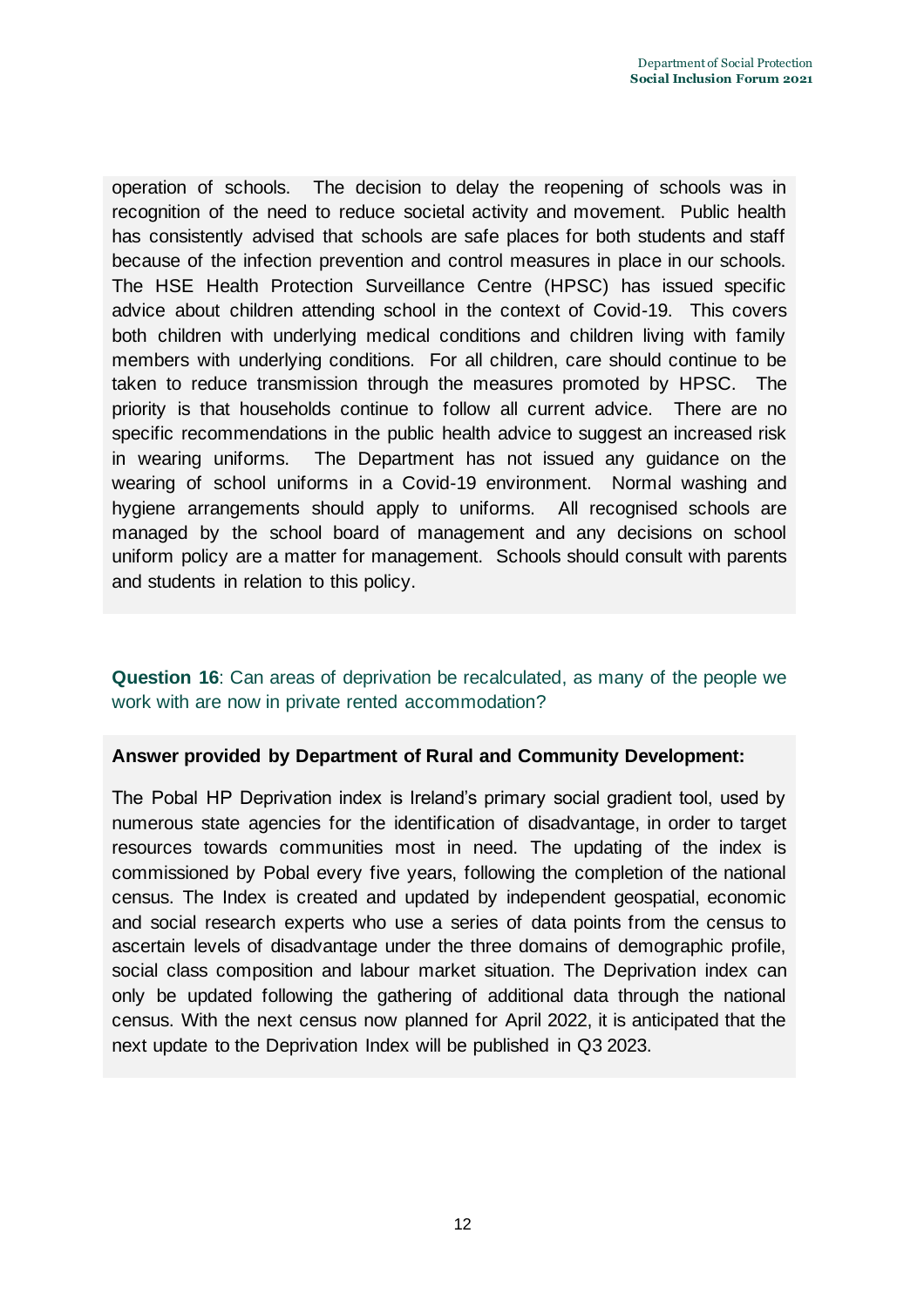operation of schools. The decision to delay the reopening of schools was in recognition of the need to reduce societal activity and movement. Public health has consistently advised that schools are safe places for both students and staff because of the infection prevention and control measures in place in our schools. The HSE Health Protection Surveillance Centre (HPSC) has issued specific advice about children attending school in the context of Covid-19. This covers both children with underlying medical conditions and children living with family members with underlying conditions. For all children, care should continue to be taken to reduce transmission through the measures promoted by HPSC. The priority is that households continue to follow all current advice. There are no specific recommendations in the public health advice to suggest an increased risk in wearing uniforms. The Department has not issued any guidance on the wearing of school uniforms in a Covid-19 environment. Normal washing and hygiene arrangements should apply to uniforms. All recognised schools are managed by the school board of management and any decisions on school uniform policy are a matter for management. Schools should consult with parents and students in relation to this policy.

# **Question 16**: Can areas of deprivation be recalculated, as many of the people we work with are now in private rented accommodation?

# **Answer provided by Department of Rural and Community Development:**

The Pobal HP Deprivation index is Ireland's primary social gradient tool, used by numerous state agencies for the identification of disadvantage, in order to target resources towards communities most in need. The updating of the index is commissioned by Pobal every five years, following the completion of the national census. The Index is created and updated by independent geospatial, economic and social research experts who use a series of data points from the census to ascertain levels of disadvantage under the three domains of demographic profile, social class composition and labour market situation. The Deprivation index can only be updated following the gathering of additional data through the national census. With the next census now planned for April 2022, it is anticipated that the next update to the Deprivation Index will be published in Q3 2023.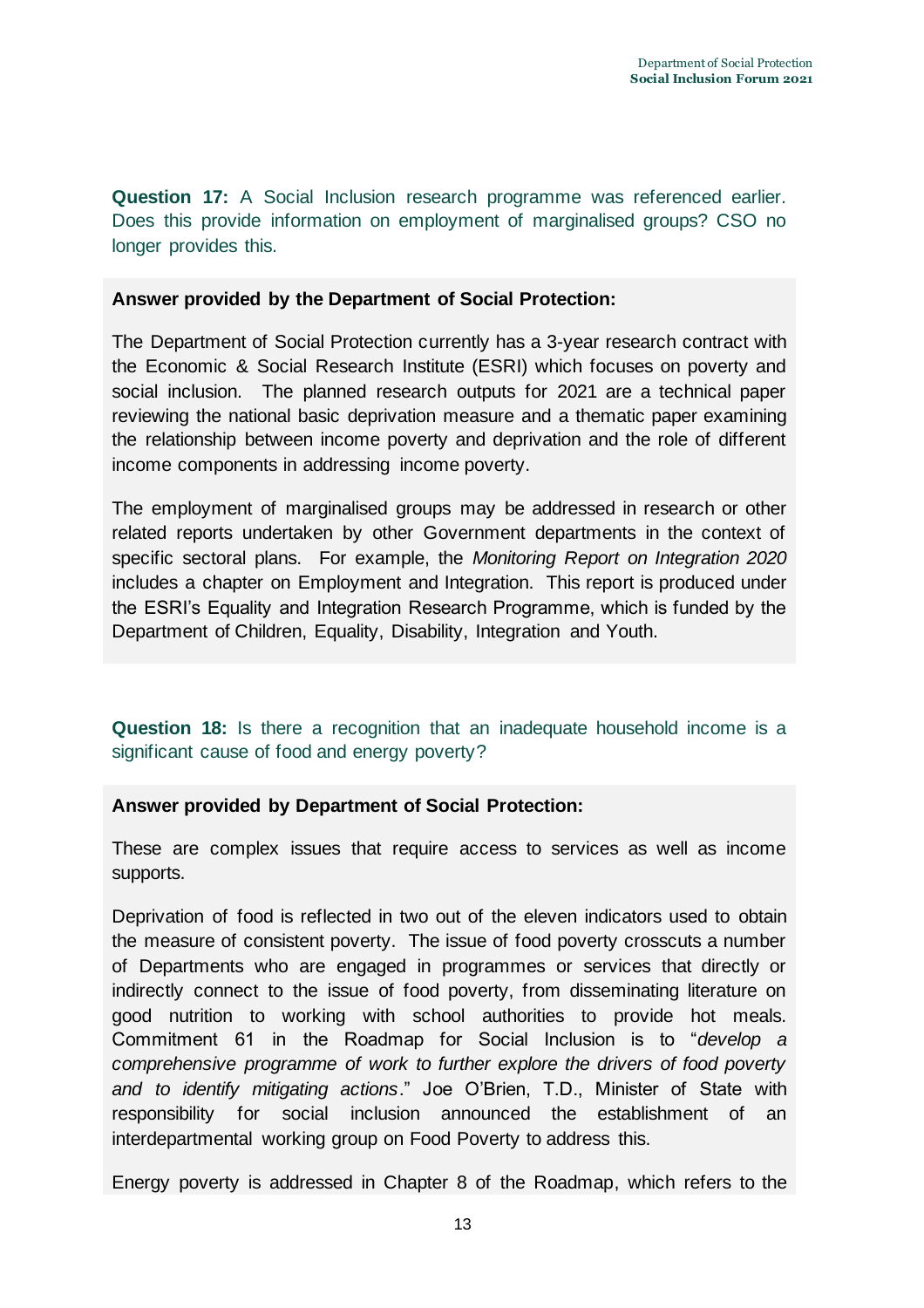**Question 17:** A Social Inclusion research programme was referenced earlier. Does this provide information on employment of marginalised groups? CSO no longer provides this.

#### **Answer provided by the Department of Social Protection:**

The Department of Social Protection currently has a 3-year research contract with the Economic & Social Research Institute (ESRI) which focuses on poverty and social inclusion. The planned research outputs for 2021 are a technical paper reviewing the national basic deprivation measure and a thematic paper examining the relationship between income poverty and deprivation and the role of different income components in addressing income poverty.

The employment of marginalised groups may be addressed in research or other related reports undertaken by other Government departments in the context of specific sectoral plans. For example, the *Monitoring Report on Integration 2020* includes a chapter on Employment and Integration. This report is produced under the ESRI's Equality and Integration Research Programme, which is funded by the Department of Children, Equality, Disability, Integration and Youth.

# **Question 18:** Is there a recognition that an inadequate household income is a significant cause of food and energy poverty?

# **Answer provided by Department of Social Protection:**

These are complex issues that require access to services as well as income supports.

Deprivation of food is reflected in two out of the eleven indicators used to obtain the measure of consistent poverty. The issue of food poverty crosscuts a number of Departments who are engaged in programmes or services that directly or indirectly connect to the issue of food poverty, from disseminating literature on good nutrition to working with school authorities to provide hot meals. Commitment 61 in the Roadmap for Social Inclusion is to "*develop a comprehensive programme of work to further explore the drivers of food poverty and to identify mitigating actions*." Joe O'Brien, T.D., Minister of State with responsibility for social inclusion announced the establishment of an interdepartmental working group on Food Poverty to address this.

Energy poverty is addressed in Chapter 8 of the Roadmap, which refers to the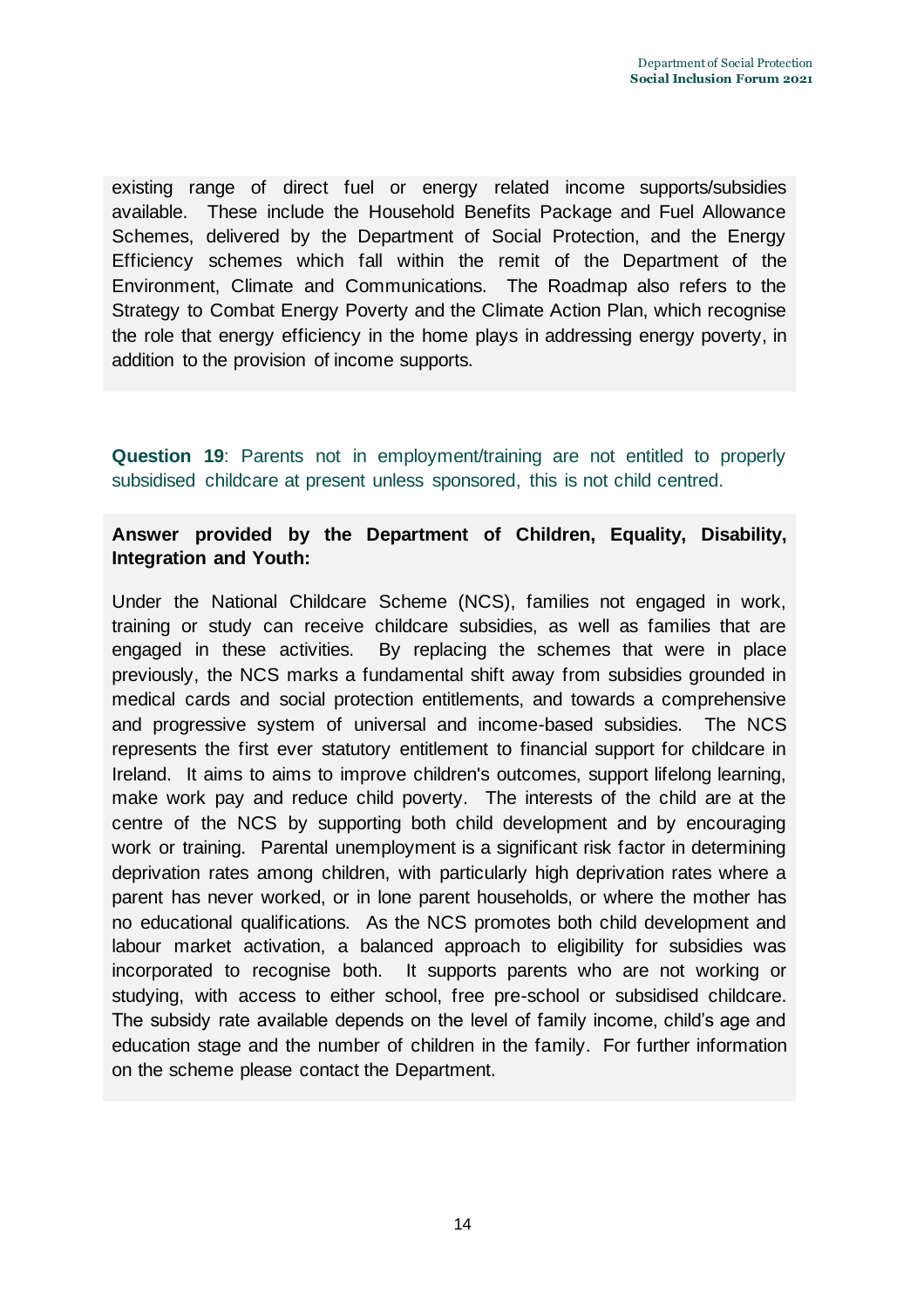existing range of direct fuel or energy related income supports/subsidies available. These include the Household Benefits Package and Fuel Allowance Schemes, delivered by the Department of Social Protection, and the Energy Efficiency schemes which fall within the remit of the Department of the Environment, Climate and Communications. The Roadmap also refers to the Strategy to Combat Energy Poverty and the Climate Action Plan, which recognise the role that energy efficiency in the home plays in addressing energy poverty, in addition to the provision of income supports.

**Question 19**: Parents not in employment/training are not entitled to properly subsidised childcare at present unless sponsored, this is not child centred.

# **Answer provided by the Department of Children, Equality, Disability, Integration and Youth:**

Under the National Childcare Scheme (NCS), families not engaged in work, training or study can receive childcare subsidies, as well as families that are engaged in these activities. By replacing the schemes that were in place previously, the NCS marks a fundamental shift away from subsidies grounded in medical cards and social protection entitlements, and towards a comprehensive and progressive system of universal and income-based subsidies. The NCS represents the first ever statutory entitlement to financial support for childcare in Ireland. It aims to aims to improve children's outcomes, support lifelong learning, make work pay and reduce child poverty. The interests of the child are at the centre of the NCS by supporting both child development and by encouraging work or training. Parental unemployment is a significant risk factor in determining deprivation rates among children, with particularly high deprivation rates where a parent has never worked, or in lone parent households, or where the mother has no educational qualifications. As the NCS promotes both child development and labour market activation, a balanced approach to eligibility for subsidies was incorporated to recognise both. It supports parents who are not working or studying, with access to either school, free pre-school or subsidised childcare. The subsidy rate available depends on the level of family income, child's age and education stage and the number of children in the family.For further information on the scheme please contact the Department.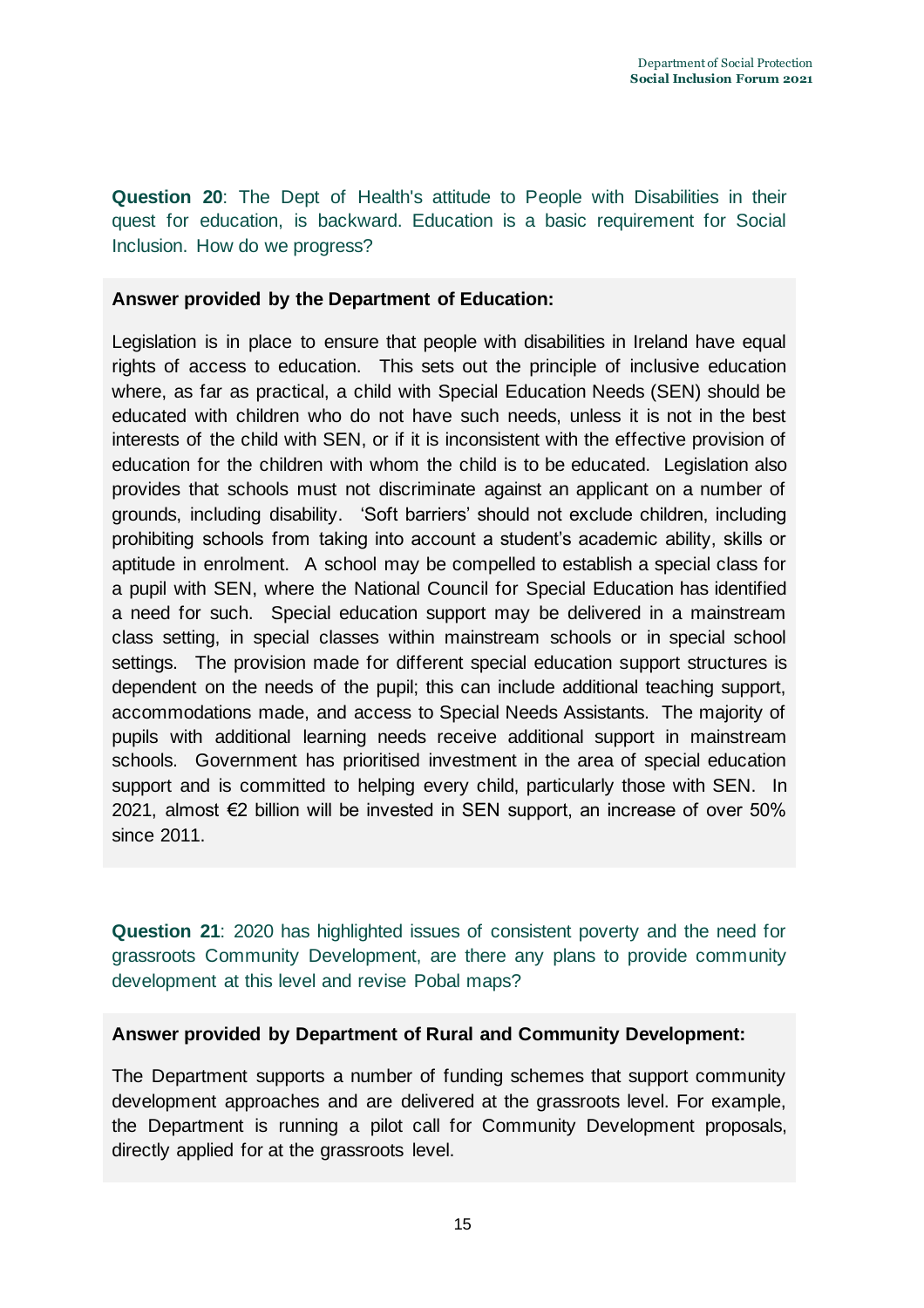**Question 20**: The Dept of Health's attitude to People with Disabilities in their quest for education, is backward. Education is a basic requirement for Social Inclusion. How do we progress?

# **Answer provided by the Department of Education:**

Legislation is in place to ensure that people with disabilities in Ireland have equal rights of access to education. This sets out the principle of inclusive education where, as far as practical, a child with Special Education Needs (SEN) should be educated with children who do not have such needs, unless it is not in the best interests of the child with SEN, or if it is inconsistent with the effective provision of education for the children with whom the child is to be educated. Legislation also provides that schools must not discriminate against an applicant on a number of grounds, including disability. 'Soft barriers' should not exclude children, including prohibiting schools from taking into account a student's academic ability, skills or aptitude in enrolment. A school may be compelled to establish a special class for a pupil with SEN, where the National Council for Special Education has identified a need for such. Special education support may be delivered in a mainstream class setting, in special classes within mainstream schools or in special school settings. The provision made for different special education support structures is dependent on the needs of the pupil; this can include additional teaching support, accommodations made, and access to Special Needs Assistants. The majority of pupils with additional learning needs receive additional support in mainstream schools. Government has prioritised investment in the area of special education support and is committed to helping every child, particularly those with SEN. In 2021, almost €2 billion will be invested in SEN support, an increase of over 50% since 2011.

**Question 21**: 2020 has highlighted issues of consistent poverty and the need for grassroots Community Development, are there any plans to provide community development at this level and revise Pobal maps?

# **Answer provided by Department of Rural and Community Development:**

The Department supports a number of funding schemes that support community development approaches and are delivered at the grassroots level. For example, the Department is running a pilot call for Community Development proposals, directly applied for at the grassroots level.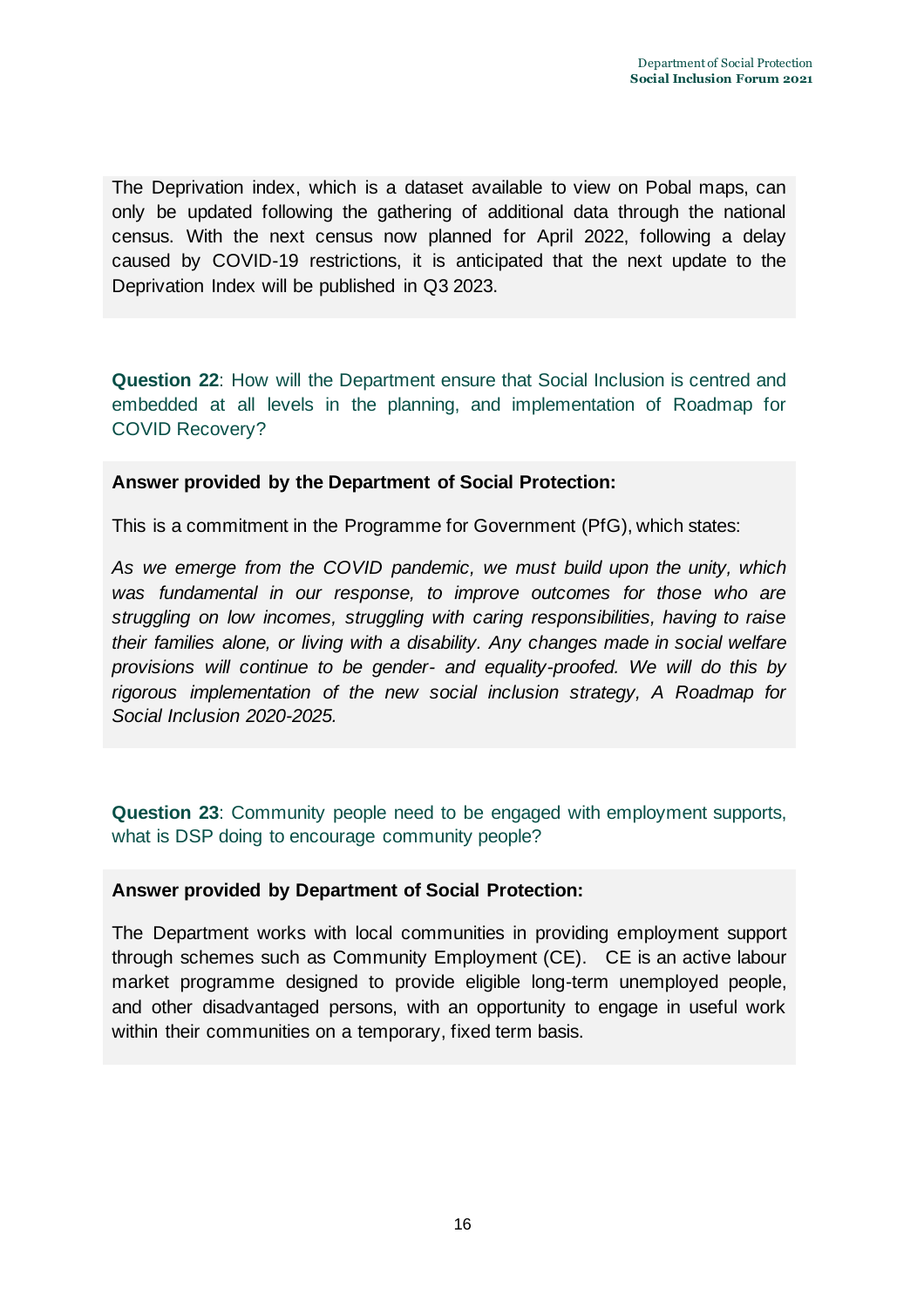The Deprivation index, which is a dataset available to view on Pobal maps, can only be updated following the gathering of additional data through the national census. With the next census now planned for April 2022, following a delay caused by COVID-19 restrictions, it is anticipated that the next update to the Deprivation Index will be published in Q3 2023.

**Question 22**: How will the Department ensure that Social Inclusion is centred and embedded at all levels in the planning, and implementation of Roadmap for COVID Recovery?

#### **Answer provided by the Department of Social Protection:**

This is a commitment in the Programme for Government (PfG), which states:

*As we emerge from the COVID pandemic, we must build upon the unity, which was fundamental in our response, to improve outcomes for those who are struggling on low incomes, struggling with caring responsibilities, having to raise their families alone, or living with a disability. Any changes made in social welfare provisions will continue to be gender- and equality-proofed. We will do this by rigorous implementation of the new social inclusion strategy, A Roadmap for Social Inclusion 2020-2025.*

**Question 23**: Community people need to be engaged with employment supports, what is DSP doing to encourage community people?

#### **Answer provided by Department of Social Protection:**

The Department works with local communities in providing employment support through schemes such as Community Employment (CE). CE is an active labour market programme designed to provide eligible long-term unemployed people, and other disadvantaged persons, with an opportunity to engage in useful work within their communities on a temporary, fixed term basis.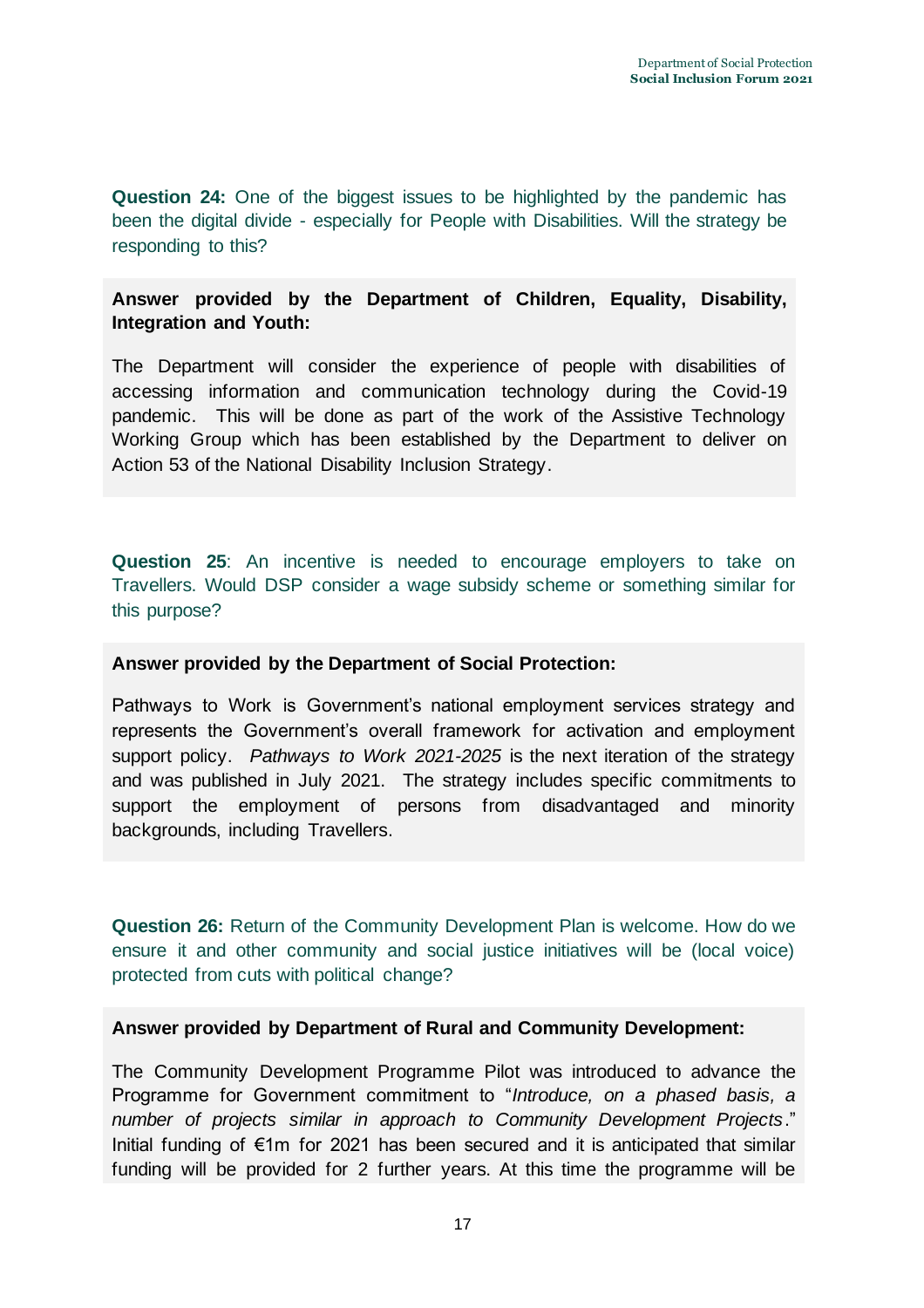**Question 24:** One of the biggest issues to be highlighted by the pandemic has been the digital divide - especially for People with Disabilities. Will the strategy be responding to this?

# **Answer provided by the Department of Children, Equality, Disability, Integration and Youth:**

The Department will consider the experience of people with disabilities of accessing information and communication technology during the Covid-19 pandemic. This will be done as part of the work of the Assistive Technology Working Group which has been established by the Department to deliver on Action 53 of the National Disability Inclusion Strategy.

**Question 25**: An incentive is needed to encourage employers to take on Travellers. Would DSP consider a wage subsidy scheme or something similar for this purpose?

# **Answer provided by the Department of Social Protection:**

Pathways to Work is Government's national employment services strategy and represents the Government's overall framework for activation and employment support policy. *Pathways to Work 2021-2025* is the next iteration of the strategy and was published in July 2021. The strategy includes specific commitments to support the employment of persons from disadvantaged and minority backgrounds, including Travellers.

**Question 26:** Return of the Community Development Plan is welcome. How do we ensure it and other community and social justice initiatives will be (local voice) protected from cuts with political change?

# **Answer provided by Department of Rural and Community Development:**

The Community Development Programme Pilot was introduced to advance the Programme for Government commitment to "*Introduce, on a phased basis, a number of projects similar in approach to Community Development Projects*." Initial funding of €1m for 2021 has been secured and it is anticipated that similar funding will be provided for 2 further years. At this time the programme will be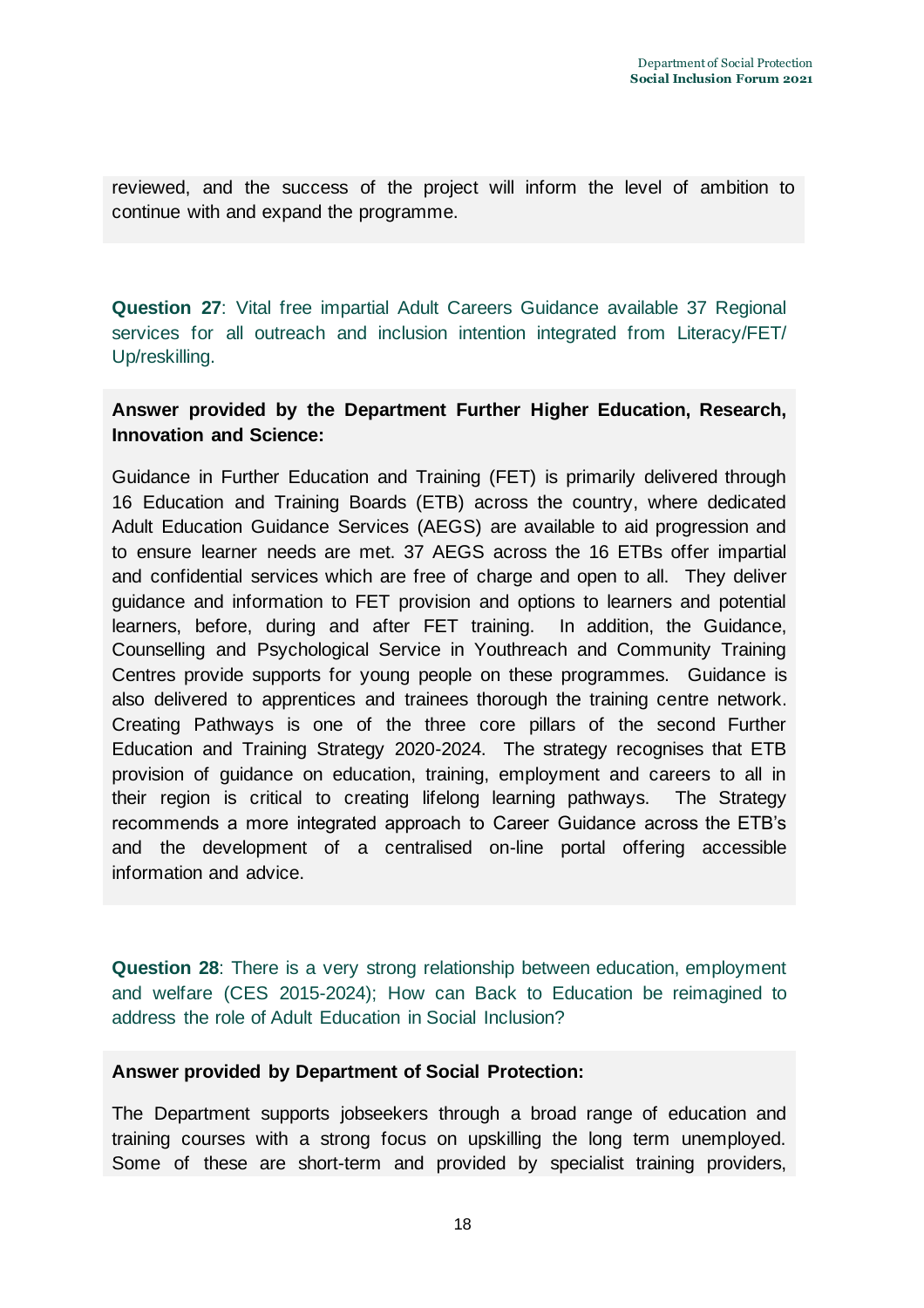reviewed, and the success of the project will inform the level of ambition to continue with and expand the programme.

**Question 27**: Vital free impartial Adult Careers Guidance available 37 Regional services for all outreach and inclusion intention integrated from Literacy/FET/ Up/reskilling.

# **Answer provided by the Department Further Higher Education, Research, Innovation and Science:**

Guidance in Further Education and Training (FET) is primarily delivered through 16 Education and Training Boards (ETB) across the country, where dedicated Adult Education Guidance Services (AEGS) are available to aid progression and to ensure learner needs are met. 37 AEGS across the 16 ETBs offer impartial and confidential services which are free of charge and open to all. They deliver guidance and information to FET provision and options to learners and potential learners, before, during and after FET training. In addition, the Guidance, Counselling and Psychological Service in Youthreach and Community Training Centres provide supports for young people on these programmes. Guidance is also delivered to apprentices and trainees thorough the training centre network. Creating Pathways is one of the three core pillars of the second Further Education and Training Strategy 2020-2024. The strategy recognises that ETB provision of guidance on education, training, employment and careers to all in their region is critical to creating lifelong learning pathways. The Strategy recommends a more integrated approach to Career Guidance across the ETB's and the development of a centralised on-line portal offering accessible information and advice.

**Question 28**: There is a very strong relationship between education, employment and welfare (CES 2015-2024); How can Back to Education be reimagined to address the role of Adult Education in Social Inclusion?

# **Answer provided by Department of Social Protection:**

The Department supports jobseekers through a broad range of education and training courses with a strong focus on upskilling the long term unemployed. Some of these are short-term and provided by specialist training providers,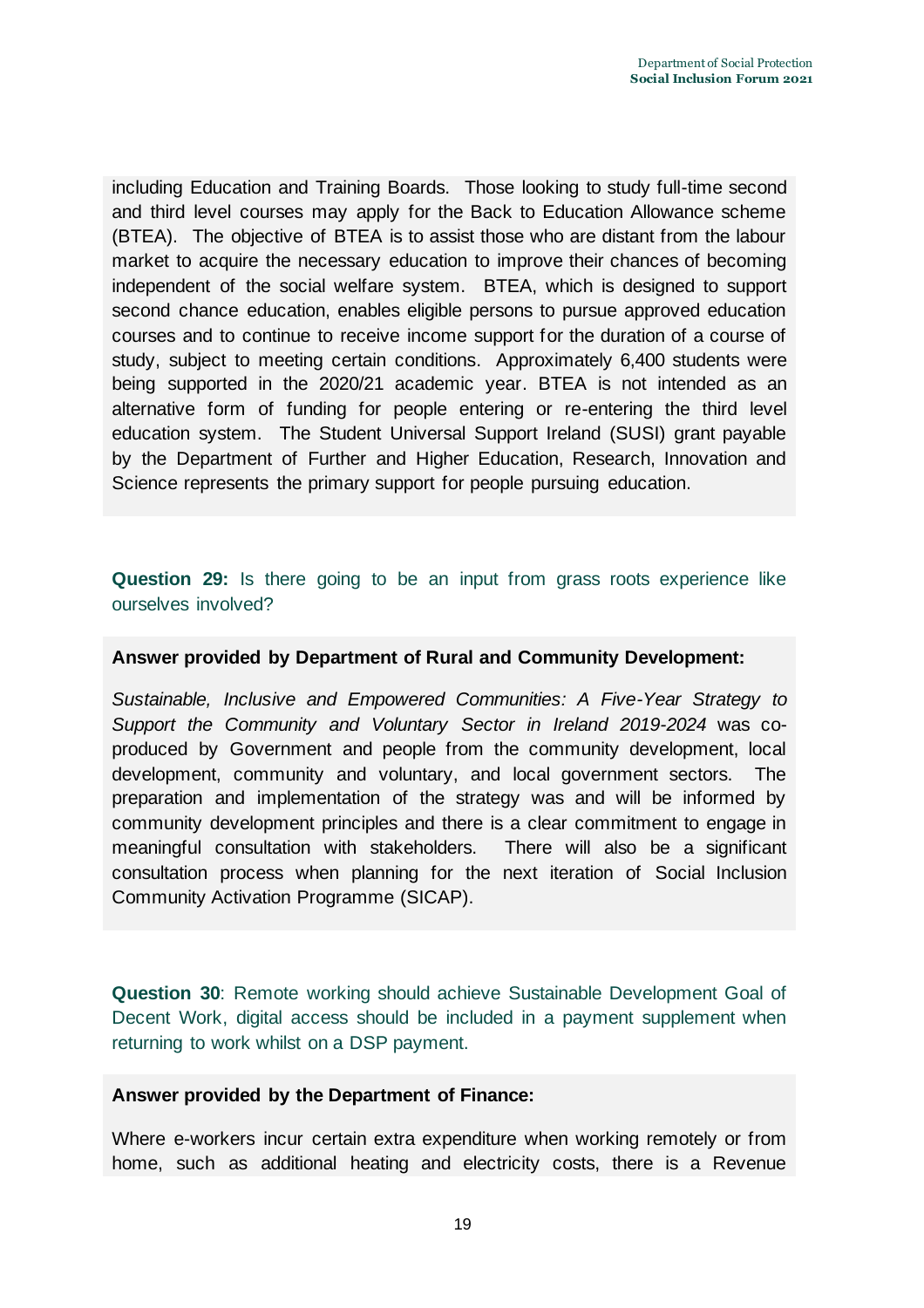including Education and Training Boards. Those looking to study full-time second and third level courses may apply for the Back to Education Allowance scheme (BTEA). The objective of BTEA is to assist those who are distant from the labour market to acquire the necessary education to improve their chances of becoming independent of the social welfare system. BTEA, which is designed to support second chance education, enables eligible persons to pursue approved education courses and to continue to receive income support for the duration of a course of study, subject to meeting certain conditions. Approximately 6,400 students were being supported in the 2020/21 academic year. BTEA is not intended as an alternative form of funding for people entering or re-entering the third level education system. The Student Universal Support Ireland (SUSI) grant payable by the Department of Further and Higher Education, Research, Innovation and Science represents the primary support for people pursuing education.

**Question 29:** Is there going to be an input from grass roots experience like ourselves involved?

#### **Answer provided by Department of Rural and Community Development:**

*Sustainable, Inclusive and Empowered Communities: A Five-Year Strategy to Support the Community and Voluntary Sector in Ireland 2019-2024* was coproduced by Government and people from the community development, local development, community and voluntary, and local government sectors. The preparation and implementation of the strategy was and will be informed by community development principles and there is a clear commitment to engage in meaningful consultation with stakeholders. There will also be a significant consultation process when planning for the next iteration of Social Inclusion Community Activation Programme (SICAP).

**Question 30**: Remote working should achieve Sustainable Development Goal of Decent Work, digital access should be included in a payment supplement when returning to work whilst on a DSP payment.

#### **Answer provided by the Department of Finance:**

Where e-workers incur certain extra expenditure when working remotely or from home, such as additional heating and electricity costs, there is a Revenue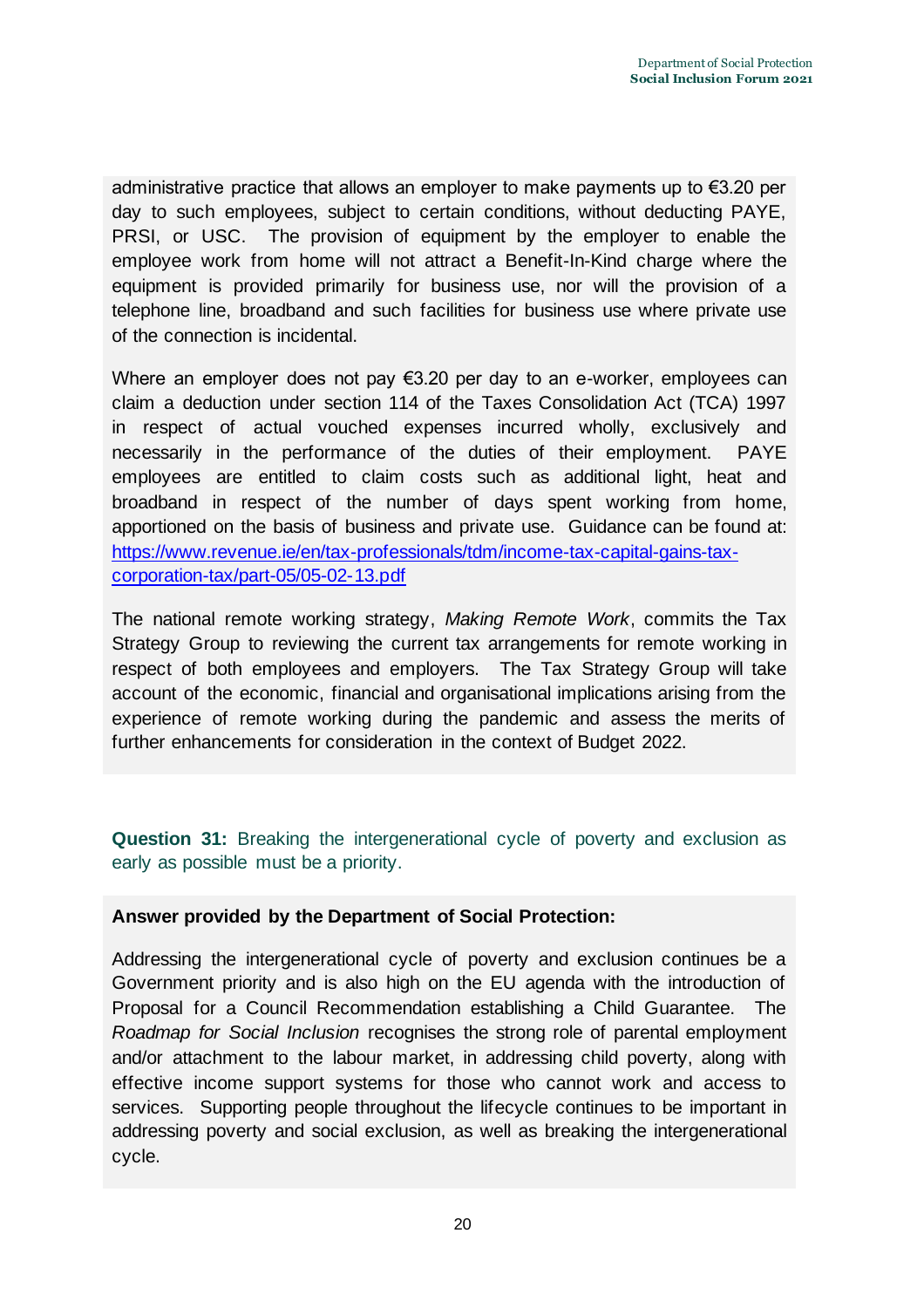administrative practice that allows an employer to make payments up to €3.20 per day to such employees, subject to certain conditions, without deducting PAYE, PRSI, or USC. The provision of equipment by the employer to enable the employee work from home will not attract a Benefit-In-Kind charge where the equipment is provided primarily for business use, nor will the provision of a telephone line, broadband and such facilities for business use where private use of the connection is incidental.

Where an employer does not pay €3.20 per day to an e-worker, employees can claim a deduction under section 114 of the Taxes Consolidation Act (TCA) 1997 in respect of actual vouched expenses incurred wholly, exclusively and necessarily in the performance of the duties of their employment. PAYE employees are entitled to claim costs such as additional light, heat and broadband in respect of the number of days spent working from home, apportioned on the basis of business and private use. Guidance can be found at: [https://www.revenue.ie/en/tax-professionals/tdm/income-tax-capital-gains-tax](https://www.revenue.ie/en/tax-professionals/tdm/income-tax-capital-gains-tax-corporation-tax/part-05/05-02-13.pdf)[corporation-tax/part-05/05-02-13.pdf](https://www.revenue.ie/en/tax-professionals/tdm/income-tax-capital-gains-tax-corporation-tax/part-05/05-02-13.pdf)

The national remote working strategy, *Making Remote Work*, commits the Tax Strategy Group to reviewing the current tax arrangements for remote working in respect of both employees and employers. The Tax Strategy Group will take account of the economic, financial and organisational implications arising from the experience of remote working during the pandemic and assess the merits of further enhancements for consideration in the context of Budget 2022.

**Question 31:** Breaking the intergenerational cycle of poverty and exclusion as early as possible must be a priority.

# **Answer provided by the Department of Social Protection:**

Addressing the intergenerational cycle of poverty and exclusion continues be a Government priority and is also high on the EU agenda with the introduction of Proposal for a Council Recommendation establishing a Child Guarantee. The *Roadmap for Social Inclusion* recognises the strong role of parental employment and/or attachment to the labour market, in addressing child poverty, along with effective income support systems for those who cannot work and access to services. Supporting people throughout the lifecycle continues to be important in addressing poverty and social exclusion, as well as breaking the intergenerational cycle.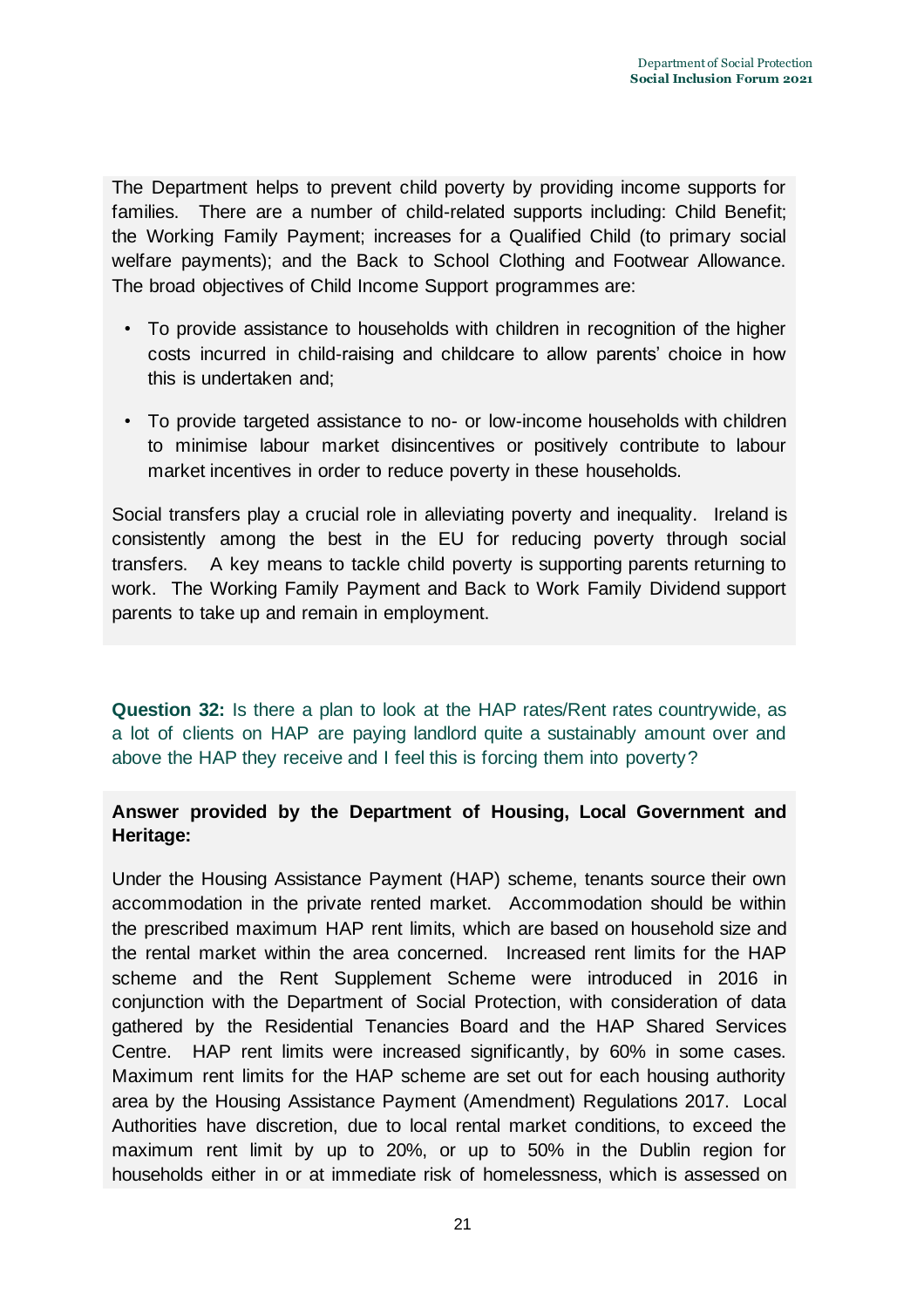The Department helps to prevent child poverty by providing income supports for families. There are a number of child-related supports including: Child Benefit; the Working Family Payment; increases for a Qualified Child (to primary social welfare payments); and the Back to School Clothing and Footwear Allowance. The broad objectives of Child Income Support programmes are:

- To provide assistance to households with children in recognition of the higher costs incurred in child-raising and childcare to allow parents' choice in how this is undertaken and;
- To provide targeted assistance to no- or low-income households with children to minimise labour market disincentives or positively contribute to labour market incentives in order to reduce poverty in these households.

Social transfers play a crucial role in alleviating poverty and inequality. Ireland is consistently among the best in the EU for reducing poverty through social transfers. A key means to tackle child poverty is supporting parents returning to work. The Working Family Payment and Back to Work Family Dividend support parents to take up and remain in employment.

**Question 32:** Is there a plan to look at the HAP rates/Rent rates countrywide, as a lot of clients on HAP are paying landlord quite a sustainably amount over and above the HAP they receive and I feel this is forcing them into poverty?

# **Answer provided by the Department of Housing, Local Government and Heritage:**

Under the Housing Assistance Payment (HAP) scheme, tenants source their own accommodation in the private rented market. Accommodation should be within the prescribed maximum HAP rent limits, which are based on household size and the rental market within the area concerned. Increased rent limits for the HAP scheme and the Rent Supplement Scheme were introduced in 2016 in conjunction with the Department of Social Protection, with consideration of data gathered by the Residential Tenancies Board and the HAP Shared Services Centre. HAP rent limits were increased significantly, by 60% in some cases. Maximum rent limits for the HAP scheme are set out for each housing authority area by the Housing Assistance Payment (Amendment) Regulations 2017. Local Authorities have discretion, due to local rental market conditions, to exceed the maximum rent limit by up to 20%, or up to 50% in the Dublin region for households either in or at immediate risk of homelessness, which is assessed on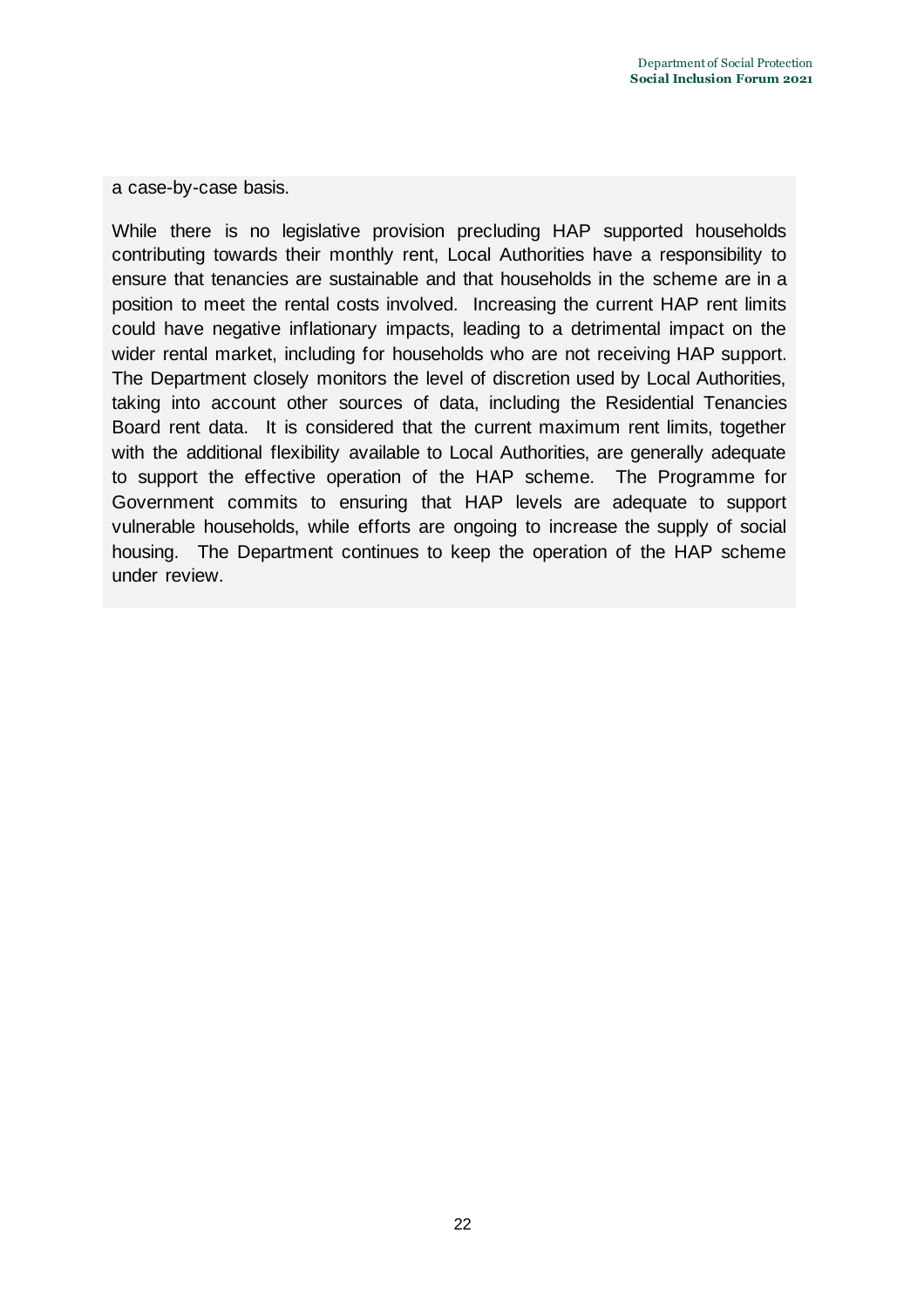a case-by-case basis.

While there is no legislative provision precluding HAP supported households contributing towards their monthly rent, Local Authorities have a responsibility to ensure that tenancies are sustainable and that households in the scheme are in a position to meet the rental costs involved. Increasing the current HAP rent limits could have negative inflationary impacts, leading to a detrimental impact on the wider rental market, including for households who are not receiving HAP support. The Department closely monitors the level of discretion used by Local Authorities, taking into account other sources of data, including the Residential Tenancies Board rent data. It is considered that the current maximum rent limits, together with the additional flexibility available to Local Authorities, are generally adequate to support the effective operation of the HAP scheme. The Programme for Government commits to ensuring that HAP levels are adequate to support vulnerable households, while efforts are ongoing to increase the supply of social housing. The Department continues to keep the operation of the HAP scheme under review.